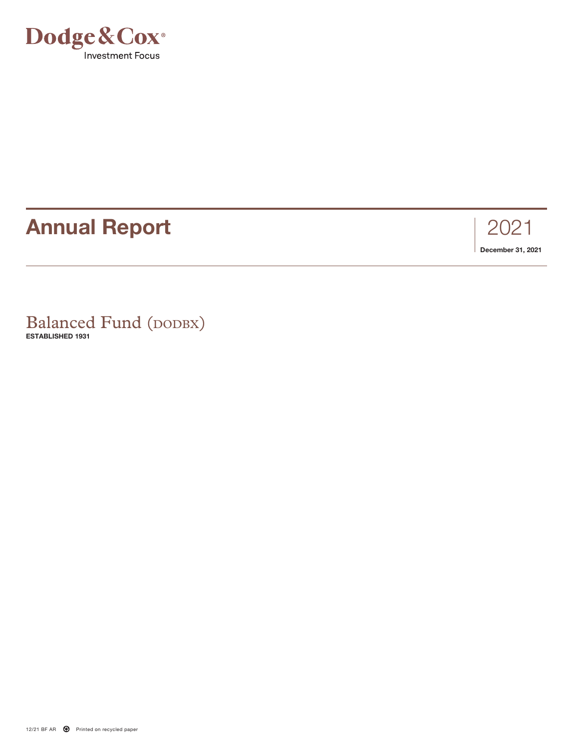

# **Annual Report**

# 2021

**December 31, 2021**

Balanced Fund (DODBX) **ESTABLISHED 1931**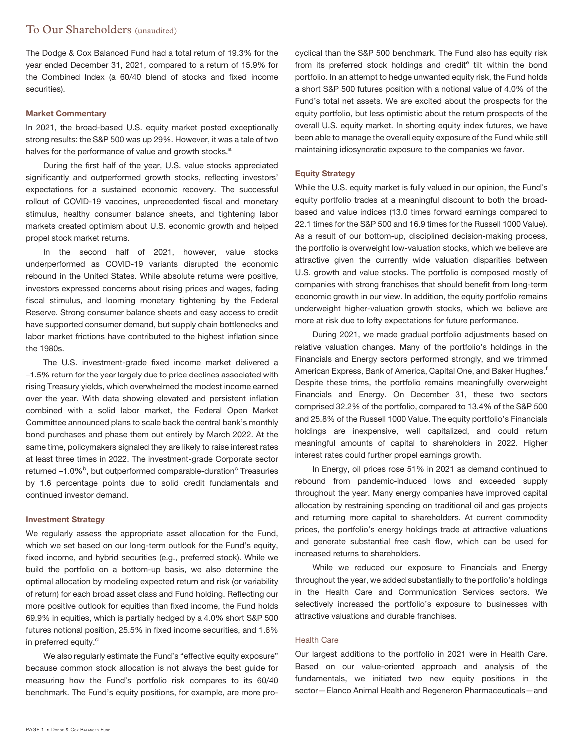### To Our Shareholders (unaudited)

The Dodge & Cox Balanced Fund had a total return of 19.3% for the year ended December 31, 2021, compared to a return of 15.9% for the Combined Index (a 60/40 blend of stocks and fixed income securities).

### **Market Commentary**

In 2021, the broad-based U.S. equity market posted exceptionally strong results: the S&P 500 was up 29%. However, it was a tale of two halves for the performance of value and growth stocks.<sup>a</sup>

During the first half of the year, U.S. value stocks appreciated significantly and outperformed growth stocks, reflecting investors' expectations for a sustained economic recovery. The successful rollout of COVID-19 vaccines, unprecedented fiscal and monetary stimulus, healthy consumer balance sheets, and tightening labor markets created optimism about U.S. economic growth and helped propel stock market returns.

In the second half of 2021, however, value stocks underperformed as COVID-19 variants disrupted the economic rebound in the United States. While absolute returns were positive, investors expressed concerns about rising prices and wages, fading fiscal stimulus, and looming monetary tightening by the Federal Reserve. Strong consumer balance sheets and easy access to credit have supported consumer demand, but supply chain bottlenecks and labor market frictions have contributed to the highest inflation since the 1980s.

The U.S. investment-grade fixed income market delivered a –1.5% return for the year largely due to price declines associated with rising Treasury yields, which overwhelmed the modest income earned over the year. With data showing elevated and persistent inflation combined with a solid labor market, the Federal Open Market Committee announced plans to scale back the central bank's monthly bond purchases and phase them out entirely by March 2022. At the same time, policymakers signaled they are likely to raise interest rates at least three times in 2022. The investment-grade Corporate sector returned -1.0%<sup>b</sup>, but outperformed comparable-duration<sup>c</sup> Treasuries by 1.6 percentage points due to solid credit fundamentals and continued investor demand.

### **Investment Strategy**

We regularly assess the appropriate asset allocation for the Fund, which we set based on our long-term outlook for the Fund's equity, fixed income, and hybrid securities (e.g., preferred stock). While we build the portfolio on a bottom-up basis, we also determine the optimal allocation by modeling expected return and risk (or variability of return) for each broad asset class and Fund holding. Reflecting our more positive outlook for equities than fixed income, the Fund holds 69.9% in equities, which is partially hedged by a 4.0% short S&P 500 futures notional position, 25.5% in fixed income securities, and 1.6% in preferred equity.<sup>d</sup>

We also regularly estimate the Fund's "effective equity exposure" because common stock allocation is not always the best guide for measuring how the Fund's portfolio risk compares to its 60/40 benchmark. The Fund's equity positions, for example, are more procyclical than the S&P 500 benchmark. The Fund also has equity risk from its preferred stock holdings and credit<sup>e</sup> tilt within the bond portfolio. In an attempt to hedge unwanted equity risk, the Fund holds a short S&P 500 futures position with a notional value of 4.0% of the Fund's total net assets. We are excited about the prospects for the equity portfolio, but less optimistic about the return prospects of the overall U.S. equity market. In shorting equity index futures, we have been able to manage the overall equity exposure of the Fund while still maintaining idiosyncratic exposure to the companies we favor.

### **Equity Strategy**

While the U.S. equity market is fully valued in our opinion, the Fund's equity portfolio trades at a meaningful discount to both the broadbased and value indices (13.0 times forward earnings compared to 22.1 times for the S&P 500 and 16.9 times for the Russell 1000 Value). As a result of our bottom-up, disciplined decision-making process, the portfolio is overweight low-valuation stocks, which we believe are attractive given the currently wide valuation disparities between U.S. growth and value stocks. The portfolio is composed mostly of companies with strong franchises that should benefit from long-term economic growth in our view. In addition, the equity portfolio remains underweight higher-valuation growth stocks, which we believe are more at risk due to lofty expectations for future performance.

During 2021, we made gradual portfolio adjustments based on relative valuation changes. Many of the portfolio's holdings in the Financials and Energy sectors performed strongly, and we trimmed American Express, Bank of America, Capital One, and Baker Hughes.<sup>f</sup> Despite these trims, the portfolio remains meaningfully overweight Financials and Energy. On December 31, these two sectors comprised 32.2% of the portfolio, compared to 13.4% of the S&P 500 and 25.8% of the Russell 1000 Value. The equity portfolio's Financials holdings are inexpensive, well capitalized, and could return meaningful amounts of capital to shareholders in 2022. Higher interest rates could further propel earnings growth.

In Energy, oil prices rose 51% in 2021 as demand continued to rebound from pandemic-induced lows and exceeded supply throughout the year. Many energy companies have improved capital allocation by restraining spending on traditional oil and gas projects and returning more capital to shareholders. At current commodity prices, the portfolio's energy holdings trade at attractive valuations and generate substantial free cash flow, which can be used for increased returns to shareholders.

While we reduced our exposure to Financials and Energy throughout the year, we added substantially to the portfolio's holdings in the Health Care and Communication Services sectors. We selectively increased the portfolio's exposure to businesses with attractive valuations and durable franchises.

#### Health Care

Our largest additions to the portfolio in 2021 were in Health Care. Based on our value-oriented approach and analysis of the fundamentals, we initiated two new equity positions in the sector—Elanco Animal Health and Regeneron Pharmaceuticals—and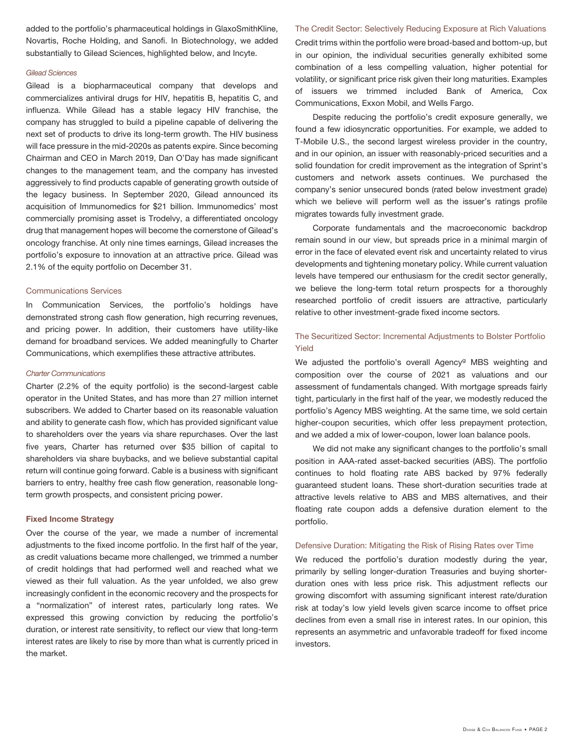added to the portfolio's pharmaceutical holdings in GlaxoSmithKline, Novartis, Roche Holding, and Sanofi. In Biotechnology, we added substantially to Gilead Sciences, highlighted below, and Incyte.

### Gilead Sciences

Gilead is a biopharmaceutical company that develops and commercializes antiviral drugs for HIV, hepatitis B, hepatitis C, and influenza. While Gilead has a stable legacy HIV franchise, the company has struggled to build a pipeline capable of delivering the next set of products to drive its long-term growth. The HIV business will face pressure in the mid-2020s as patents expire. Since becoming Chairman and CEO in March 2019, Dan O'Day has made significant changes to the management team, and the company has invested aggressively to find products capable of generating growth outside of the legacy business. In September 2020, Gilead announced its acquisition of Immunomedics for \$21 billion. Immunomedics' most commercially promising asset is Trodelvy, a differentiated oncology drug that management hopes will become the cornerstone of Gilead's oncology franchise. At only nine times earnings, Gilead increases the portfolio's exposure to innovation at an attractive price. Gilead was 2.1% of the equity portfolio on December 31.

### Communications Services

In Communication Services, the portfolio's holdings have demonstrated strong cash flow generation, high recurring revenues, and pricing power. In addition, their customers have utility-like demand for broadband services. We added meaningfully to Charter Communications, which exemplifies these attractive attributes.

### Charter Communications

Charter (2.2% of the equity portfolio) is the second-largest cable operator in the United States, and has more than 27 million internet subscribers. We added to Charter based on its reasonable valuation and ability to generate cash flow, which has provided significant value to shareholders over the years via share repurchases. Over the last five years, Charter has returned over \$35 billion of capital to shareholders via share buybacks, and we believe substantial capital return will continue going forward. Cable is a business with significant barriers to entry, healthy free cash flow generation, reasonable longterm growth prospects, and consistent pricing power.

#### **Fixed Income Strategy**

Over the course of the year, we made a number of incremental adjustments to the fixed income portfolio. In the first half of the year, as credit valuations became more challenged, we trimmed a number of credit holdings that had performed well and reached what we viewed as their full valuation. As the year unfolded, we also grew increasingly confident in the economic recovery and the prospects for a "normalization" of interest rates, particularly long rates. We expressed this growing conviction by reducing the portfolio's duration, or interest rate sensitivity, to reflect our view that long-term interest rates are likely to rise by more than what is currently priced in the market.

### The Credit Sector: Selectively Reducing Exposure at Rich Valuations

Credit trims within the portfolio were broad-based and bottom-up, but in our opinion, the individual securities generally exhibited some combination of a less compelling valuation, higher potential for volatility, or significant price risk given their long maturities. Examples of issuers we trimmed included Bank of America, Cox Communications, Exxon Mobil, and Wells Fargo.

Despite reducing the portfolio's credit exposure generally, we found a few idiosyncratic opportunities. For example, we added to T-Mobile U.S., the second largest wireless provider in the country, and in our opinion, an issuer with reasonably-priced securities and a solid foundation for credit improvement as the integration of Sprint's customers and network assets continues. We purchased the company's senior unsecured bonds (rated below investment grade) which we believe will perform well as the issuer's ratings profile migrates towards fully investment grade.

Corporate fundamentals and the macroeconomic backdrop remain sound in our view, but spreads price in a minimal margin of error in the face of elevated event risk and uncertainty related to virus developments and tightening monetary policy. While current valuation levels have tempered our enthusiasm for the credit sector generally, we believe the long-term total return prospects for a thoroughly researched portfolio of credit issuers are attractive, particularly relative to other investment-grade fixed income sectors.

### The Securitized Sector: Incremental Adjustments to Bolster Portfolio Yield

We adjusted the portfolio's overall Agency<sup>g</sup> MBS weighting and composition over the course of 2021 as valuations and our assessment of fundamentals changed. With mortgage spreads fairly tight, particularly in the first half of the year, we modestly reduced the portfolio's Agency MBS weighting. At the same time, we sold certain higher-coupon securities, which offer less prepayment protection, and we added a mix of lower-coupon, lower loan balance pools.

We did not make any significant changes to the portfolio's small position in AAA-rated asset-backed securities (ABS). The portfolio continues to hold floating rate ABS backed by 97% federally guaranteed student loans. These short-duration securities trade at attractive levels relative to ABS and MBS alternatives, and their floating rate coupon adds a defensive duration element to the portfolio.

### Defensive Duration: Mitigating the Risk of Rising Rates over Time

We reduced the portfolio's duration modestly during the year, primarily by selling longer-duration Treasuries and buying shorterduration ones with less price risk. This adjustment reflects our growing discomfort with assuming significant interest rate/duration risk at today's low yield levels given scarce income to offset price declines from even a small rise in interest rates. In our opinion, this represents an asymmetric and unfavorable tradeoff for fixed income investors.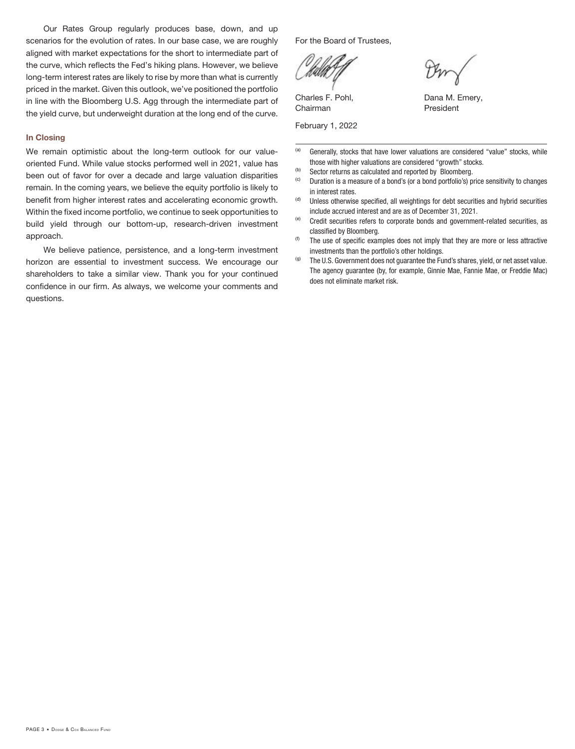Our Rates Group regularly produces base, down, and up scenarios for the evolution of rates. In our base case, we are roughly aligned with market expectations for the short to intermediate part of the curve, which reflects the Fed's hiking plans. However, we believe long-term interest rates are likely to rise by more than what is currently priced in the market. Given this outlook, we've positioned the portfolio in line with the Bloomberg U.S. Agg through the intermediate part of the yield curve, but underweight duration at the long end of the curve.

### **In Closing**

We remain optimistic about the long-term outlook for our valueoriented Fund. While value stocks performed well in 2021, value has been out of favor for over a decade and large valuation disparities remain. In the coming years, we believe the equity portfolio is likely to benefit from higher interest rates and accelerating economic growth. Within the fixed income portfolio, we continue to seek opportunities to build yield through our bottom-up, research-driven investment approach.

We believe patience, persistence, and a long-term investment horizon are essential to investment success. We encourage our shareholders to take a similar view. Thank you for your continued confidence in our firm. As always, we welcome your comments and questions.

For the Board of Trustees,

Charles F. Pohl, Chairman

February 1, 2022

Dana M. Emery, President

- (a) Generally, stocks that have lower valuations are considered "value" stocks, while those with higher valuations are considered "growth" stocks.
- (b) Sector returns as calculated and reported by Bloomberg.<br>
(c) Duration is a measure of a bond's (or a bond portfolio's) p
- Duration is a measure of a bond's (or a bond portfolio's) price sensitivity to changes in interest rates.
- $<sup>(d)</sup>$  Unless otherwise specified, all weightings for debt securities and hybrid securities</sup> include accrued interest and are as of December 31, 2021.
- (e) Credit securities refers to corporate bonds and government-related securities, as classified by Bloomberg.
- $(6)$  The use of specific examples does not imply that they are more or less attractive investments than the portfolio's other holdings.
- (g) The U.S. Government does not guarantee the Fund's shares, yield, or net asset value. The agency guarantee (by, for example, Ginnie Mae, Fannie Mae, or Freddie Mac) does not eliminate market risk.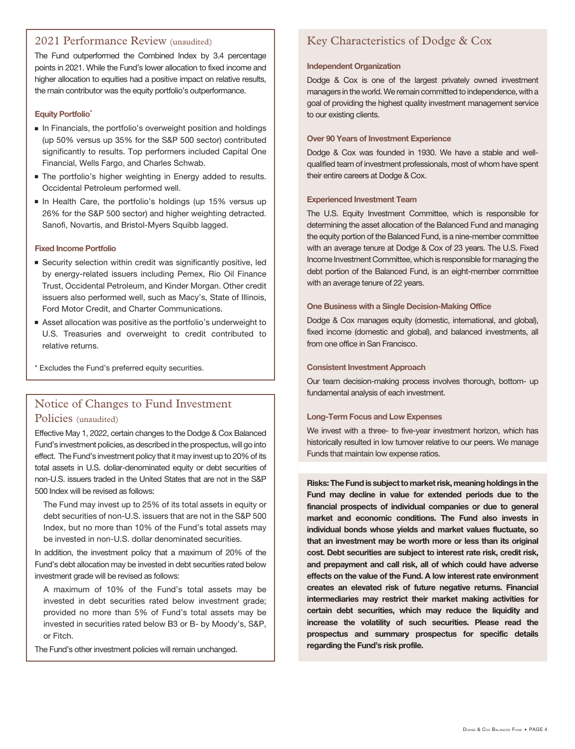# 2021 Performance Review (unaudited)

The Fund outperformed the Combined Index by 3.4 percentage points in 2021. While the Fund's lower allocation to fixed income and higher allocation to equities had a positive impact on relative results, the main contributor was the equity portfolio's outperformance.

### **Equity Portfolio\***

- **In Financials, the portfolio's overweight position and holdings** (up 50% versus up 35% for the S&P 500 sector) contributed significantly to results. Top performers included Capital One Financial, Wells Fargo, and Charles Schwab.
- **The portfolio's higher weighting in Energy added to results.** Occidental Petroleum performed well.
- In Health Care, the portfolio's holdings (up 15% versus up 26% for the S&P 500 sector) and higher weighting detracted. Sanofi, Novartis, and Bristol-Myers Squibb lagged.

### **Fixed Income Portfolio**

- **Security selection within credit was significantly positive, led** by energy-related issuers including Pemex, Rio Oil Finance Trust, Occidental Petroleum, and Kinder Morgan. Other credit issuers also performed well, such as Macy's, State of Illinois, Ford Motor Credit, and Charter Communications.
- Asset allocation was positive as the portfolio's underweight to U.S. Treasuries and overweight to credit contributed to relative returns.
- \* Excludes the Fund's preferred equity securities.

# Notice of Changes to Fund Investment Policies (unaudited)

Effective May 1, 2022, certain changes to the Dodge & Cox Balanced Fund's investment policies, as described in the prospectus, will go into effect. The Fund's investment policy that it may invest up to 20% of its total assets in U.S. dollar-denominated equity or debt securities of non-U.S. issuers traded in the United States that are not in the S&P 500 Index will be revised as follows:

The Fund may invest up to 25% of its total assets in equity or debt securities of non-U.S. issuers that are not in the S&P 500 Index, but no more than 10% of the Fund's total assets may be invested in non-U.S. dollar denominated securities.

In addition, the investment policy that a maximum of 20% of the Fund's debt allocation may be invested in debt securities rated below investment grade will be revised as follows:

A maximum of 10% of the Fund's total assets may be invested in debt securities rated below investment grade; provided no more than 5% of Fund's total assets may be invested in securities rated below B3 or B- by Moody's, S&P, or Fitch.

The Fund's other investment policies will remain unchanged.

# Key Characteristics of Dodge & Cox

### **Independent Organization**

Dodge & Cox is one of the largest privately owned investment managers in the world.We remain committed to independence, with a goal of providing the highest quality investment management service to our existing clients.

### **Over 90 Years of Investment Experience**

Dodge & Cox was founded in 1930. We have a stable and wellqualified team of investment professionals, most of whom have spent their entire careers at Dodge & Cox.

### **Experienced Investment Team**

The U.S. Equity Investment Committee, which is responsible for determining the asset allocation of the Balanced Fund and managing the equity portion of the Balanced Fund, is a nine-member committee with an average tenure at Dodge & Cox of 23 years. The U.S. Fixed Income Investment Committee, which is responsible for managing the debt portion of the Balanced Fund, is an eight-member committee with an average tenure of 22 years.

### **One Business with a Single Decision-Making Office**

Dodge & Cox manages equity (domestic, international, and global), fixed income (domestic and global), and balanced investments, all from one office in San Francisco.

### **Consistent Investment Approach**

Our team decision-making process involves thorough, bottom- up fundamental analysis of each investment.

### **Long-Term Focus and Low Expenses**

We invest with a three- to five-year investment horizon, which has historically resulted in low turnover relative to our peers. We manage Funds that maintain low expense ratios.

**Risks: The Fund is subject tomarket risk,meaning holdings in the Fund may decline in value for extended periods due to the financial prospects of individual companies or due to general market and economic conditions. The Fund also invests in individual bonds whose yields and market values fluctuate, so that an investment may be worth more or less than its original cost. Debt securities are subject to interest rate risk, credit risk, and prepayment and call risk, all of which could have adverse effects on the value of the Fund. A low interest rate environment creates an elevated risk of future negative returns. Financial intermediaries may restrict their market making activities for certain debt securities, which may reduce the liquidity and increase the volatility of such securities. Please read the prospectus and summary prospectus for specific details regarding the Fund's risk profile.**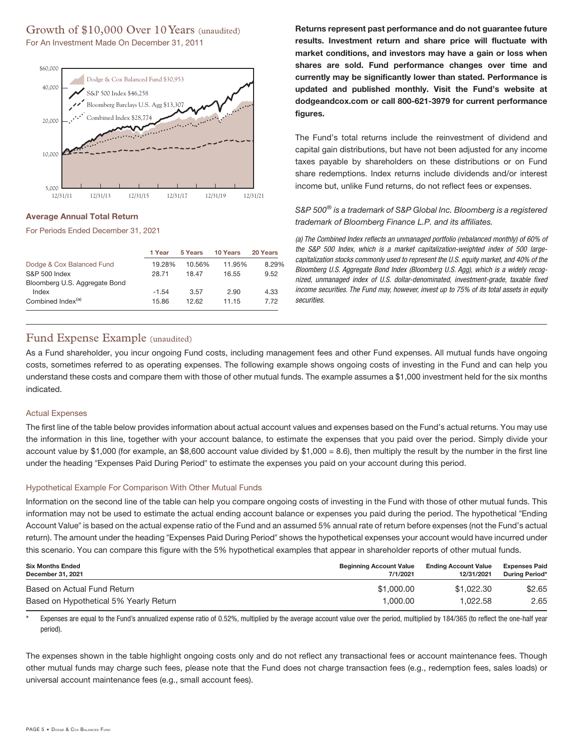### Growth of \$10,000 Over 10Years (unaudited) For An Investment Made On December 31, 2011



### **Average Annual Total Return**

For Periods Ended December 31, 2021

|                               | 1 Year  | 5 Years | 10 Years | 20 Years |
|-------------------------------|---------|---------|----------|----------|
| Dodge & Cox Balanced Fund     | 19.28%  | 10.56%  | 11.95%   | 8.29%    |
| <b>S&amp;P 500 Index</b>      | 28.71   | 18.47   | 16.55    | 9.52     |
| Bloomberg U.S. Aggregate Bond |         |         |          |          |
| Index                         | $-1.54$ | 3.57    | 2.90     | 4.33     |
| Combined Index <sup>(a)</sup> | 15.86   | 12.62   | 11.15    | 7.72     |
|                               |         |         |          |          |

# Fund Expense Example (unaudited)

As a Fund shareholder, you incur ongoing Fund costs, including management fees and other Fund expenses. All mutual funds have ongoing costs, sometimes referred to as operating expenses. The following example shows ongoing costs of investing in the Fund and can help you understand these costs and compare them with those of other mutual funds. The example assumes a \$1,000 investment held for the six months indicated.

### Actual Expenses

The first line of the table below provides information about actual account values and expenses based on the Fund's actual returns. You may use the information in this line, together with your account balance, to estimate the expenses that you paid over the period. Simply divide your account value by \$1,000 (for example, an \$8,600 account value divided by \$1,000 = 8.6), then multiply the result by the number in the first line under the heading "Expenses Paid During Period" to estimate the expenses you paid on your account during this period.

### Hypothetical Example For Comparison With Other Mutual Funds

Information on the second line of the table can help you compare ongoing costs of investing in the Fund with those of other mutual funds. This information may not be used to estimate the actual ending account balance or expenses you paid during the period. The hypothetical "Ending" Account Value" is based on the actual expense ratio of the Fund and an assumed 5% annual rate of return before expenses (not the Fund's actual return). The amount under the heading "Expenses Paid During Period" shows the hypothetical expenses your account would have incurred under this scenario. You can compare this figure with the 5% hypothetical examples that appear in shareholder reports of other mutual funds.

| <b>Six Months Ended</b><br>December 31, 2021 | <b>Beginning Account Value</b><br>7/1/2021 | <b>Ending Account Value</b><br>12/31/2021 | <b>Expenses Paid</b><br><b>During Period*</b> |
|----------------------------------------------|--------------------------------------------|-------------------------------------------|-----------------------------------------------|
| Based on Actual Fund Return                  | \$1,000.00                                 | \$1,022,30                                | \$2.65                                        |
| Based on Hypothetical 5% Yearly Return       | 1.000.00                                   | .022.58                                   | 2.65                                          |

Expenses are equal to the Fund's annualized expense ratio of 0.52%, multiplied by the average account value over the period, multiplied by 184/365 (to reflect the one-half year period).

The expenses shown in the table highlight ongoing costs only and do not reflect any transactional fees or account maintenance fees. Though other mutual funds may charge such fees, please note that the Fund does not charge transaction fees (e.g., redemption fees, sales loads) or universal account maintenance fees (e.g., small account fees).

**Returns represent past performance and do not guarantee future results. Investment return and share price will fluctuate with market conditions, and investors may have a gain or loss when shares are sold. Fund performance changes over time and currently may be significantly lower than stated. Performance is updated and published monthly. Visit the Fund's website at dodgeandcox.com or call 800-621-3979 for current performance figures.**

The Fund's total returns include the reinvestment of dividend and capital gain distributions, but have not been adjusted for any income taxes payable by shareholders on these distributions or on Fund share redemptions. Index returns include dividends and/or interest income but, unlike Fund returns, do not reflect fees or expenses.

### S&P 500<sup>®</sup> is a trademark of S&P Global Inc. Bloomberg is a registered trademark of Bloomberg Finance L.P. and its affiliates.

(a) The Combined Index reflects an unmanaged portfolio (rebalanced monthly) of 60% of the S&P 500 Index, which is a market capitalization-weighted index of 500 largecapitalization stocks commonly used to represent the U.S. equity market, and 40% of the Bloomberg U.S. Aggregate Bond Index (Bloomberg U.S. Agg), which is a widely recognized, unmanaged index of U.S. dollar-denominated, investment-grade, taxable fixed income securities. The Fund may, however, invest up to 75% of its total assets in equity securities.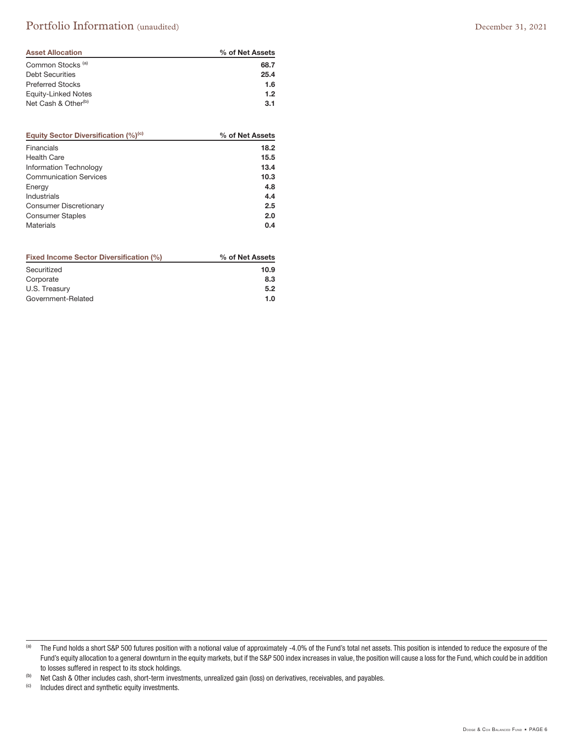# Portfolio Information (unaudited) December 31, 2021

| <b>Asset Allocation</b>         | % of Net Assets |
|---------------------------------|-----------------|
| Common Stocks <sup>(a)</sup>    | 68.7            |
| <b>Debt Securities</b>          | 25.4            |
| <b>Preferred Stocks</b>         | 1.6             |
| Equity-Linked Notes             | 1.2             |
| Net Cash & Other <sup>(b)</sup> | 3.1             |

| Equity Sector Diversification (%)(c) | % of Net Assets |
|--------------------------------------|-----------------|
| Financials                           | 18.2            |
| <b>Health Care</b>                   | 15.5            |
| Information Technology               | 13.4            |
| <b>Communication Services</b>        | 10.3            |
| Energy                               | 4.8             |
| Industrials                          | 4.4             |
| Consumer Discretionary               | 2.5             |
| <b>Consumer Staples</b>              | 2.0             |
| Materials                            | 0.4             |

| <b>Fixed Income Sector Diversification (%)</b> | % of Net Assets |
|------------------------------------------------|-----------------|
| Securitized                                    | 10.9            |
| Corporate                                      | 8.3             |
| U.S. Treasury                                  | 5.2             |
| Government-Related                             | 1.0             |

(b) Net Cash & Other includes cash, short-term investments, unrealized gain (loss) on derivatives, receivables, and payables.<br>(c) Includes direct and svnthetic equity investments.

Includes direct and synthetic equity investments.

<sup>(</sup>a) The Fund holds a short S&P 500 futures position with a notional value of approximately -4.0% of the Fund's total net assets. This position is intended to reduce the exposure of the Fund's equity allocation to a general downturn in the equity markets, but if the S&P 500 index increases in value, the position will cause a loss for the Fund, which could be in addition to losses suffered in respect to its stock holdings.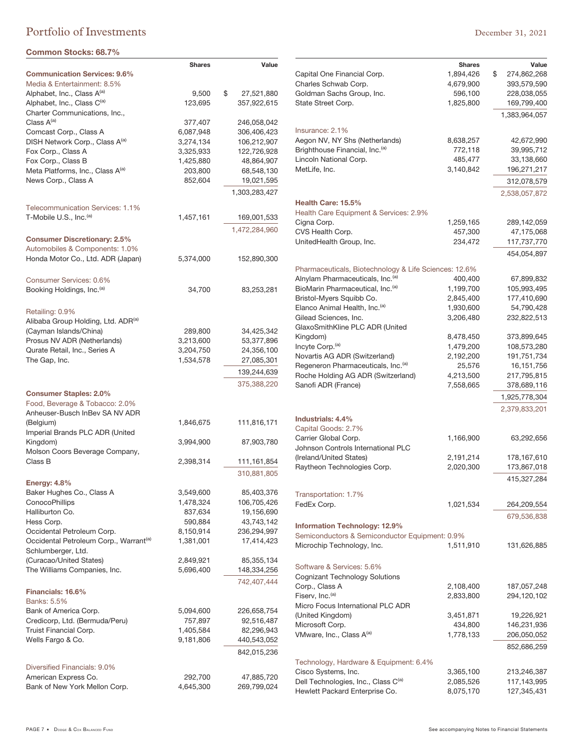### **Common Stocks: 68.7%**

|                                                    | <b>Shares</b> | Value            |
|----------------------------------------------------|---------------|------------------|
| <b>Communication Services: 9.6%</b>                |               |                  |
| Media & Entertainment: 8.5%                        |               |                  |
| Alphabet, Inc., Class A(a)                         | 9,500         | \$<br>27,521,880 |
| Alphabet, Inc., Class C(a)                         | 123,695       | 357,922,615      |
| Charter Communications, Inc.,                      |               |                  |
| Class $A^{(a)}$                                    | 377,407       | 246,058,042      |
| Comcast Corp., Class A                             | 6,087,948     | 306,406,423      |
| DISH Network Corp., Class A <sup>(a)</sup>         | 3,274,134     | 106,212,907      |
| Fox Corp., Class A                                 | 3,325,933     | 122,726,928      |
| Fox Corp., Class B                                 | 1,425,880     | 48,864,907       |
| Meta Platforms, Inc., Class A(a)                   | 203,800       | 68,548,130       |
| News Corp., Class A                                | 852,604       | 19,021,595       |
|                                                    |               | 1,303,283,427    |
|                                                    |               |                  |
| Telecommunication Services: 1.1%                   |               |                  |
| T-Mobile U.S., Inc. <sup>(a)</sup>                 | 1,457,161     | 169,001,533      |
|                                                    |               | 1,472,284,960    |
| <b>Consumer Discretionary: 2.5%</b>                |               |                  |
| Automobiles & Components: 1.0%                     |               |                  |
| Honda Motor Co., Ltd. ADR (Japan)                  | 5,374,000     | 152,890,300      |
|                                                    |               |                  |
| Consumer Services: 0.6%                            |               |                  |
| Booking Holdings, Inc. <sup>(a)</sup>              | 34,700        | 83,253,281       |
|                                                    |               |                  |
| Retailing: 0.9%                                    |               |                  |
| Alibaba Group Holding, Ltd. ADR <sup>(a)</sup>     |               |                  |
| (Cayman Islands/China)                             | 289,800       | 34,425,342       |
| Prosus NV ADR (Netherlands)                        | 3,213,600     | 53,377,896       |
| Qurate Retail, Inc., Series A                      | 3,204,750     | 24,356,100       |
| The Gap, Inc.                                      | 1,534,578     | 27,085,301       |
|                                                    |               | 139,244,639      |
|                                                    |               | 375,388,220      |
| <b>Consumer Staples: 2.0%</b>                      |               |                  |
| Food, Beverage & Tobacco: 2.0%                     |               |                  |
| Anheuser-Busch InBev SA NV ADR                     |               |                  |
| (Belgium)                                          | 1,846,675     | 111,816,171      |
| Imperial Brands PLC ADR (United                    |               |                  |
| Kingdom)                                           | 3,994,900     | 87,903,780       |
| Molson Coors Beverage Company,                     |               |                  |
| Class B                                            | 2,398,314     | 111,161,854      |
|                                                    |               | 310,881,805      |
| Energy: $4.8%$                                     |               |                  |
| Baker Hughes Co., Class A                          | 3,549,600     | 85,403,376       |
| ConocoPhillips                                     | 1,478,324     | 106,705,426      |
| Halliburton Co.                                    | 837,634       | 19,156,690       |
| Hess Corp.                                         | 590,884       | 43,743,142       |
| Occidental Petroleum Corp.                         | 8,150,914     | 236,294,997      |
| Occidental Petroleum Corp., Warrant <sup>(a)</sup> | 1,381,001     | 17,414,423       |
| Schlumberger, Ltd.                                 |               |                  |
| (Curacao/United States)                            | 2,849,921     | 85,355,134       |
| The Williams Companies, Inc.                       | 5,696,400     | 148,334,256      |
|                                                    |               | 742,407,444      |
| Financials: 16.6%                                  |               |                  |
| <b>Banks: 5.5%</b>                                 |               |                  |
| Bank of America Corp.                              | 5,094,600     | 226,658,754      |
| Credicorp, Ltd. (Bermuda/Peru)                     | 757,897       | 92,516,487       |
| Truist Financial Corp.                             | 1,405,584     | 82,296,943       |
| Wells Fargo & Co.                                  | 9,181,806     | 440,543,052      |
|                                                    |               | 842,015,236      |
|                                                    |               |                  |
| Diversified Financials: 9.0%                       |               |                  |
| American Express Co.                               | 292,700       | 47,885,720       |
| Bank of New York Mellon Corp.                      | 4,645,300     | 269,799,024      |

| Capital One Financial Corp.                           | 1,894,426 | 274,862,268<br>\$ |
|-------------------------------------------------------|-----------|-------------------|
| Charles Schwab Corp.                                  | 4,679,900 | 393,579,590       |
| Goldman Sachs Group, Inc.                             | 596,100   | 228,038,055       |
| State Street Corp.                                    | 1,825,800 | 169,799,400       |
|                                                       |           | 1,383,964,057     |
|                                                       |           |                   |
| Insurance: 2.1%                                       |           |                   |
| Aegon NV, NY Shs (Netherlands)                        | 8,638,257 | 42,672,990        |
| Brighthouse Financial, Inc. <sup>(a)</sup>            | 772,118   | 39,995,712        |
| Lincoln National Corp.                                | 485,477   | 33,138,660        |
| MetLife, Inc.                                         | 3,140,842 | 196,271,217       |
|                                                       |           | 312,078,579       |
|                                                       |           | 2,538,057,872     |
| Health Care: 15.5%                                    |           |                   |
| Health Care Equipment & Services: 2.9%                |           |                   |
| Cigna Corp.                                           | 1,259,165 | 289,142,059       |
| CVS Health Corp.                                      | 457,300   | 47,175,068        |
| UnitedHealth Group, Inc.                              | 234,472   | 117,737,770       |
|                                                       |           | 454,054,897       |
|                                                       |           |                   |
| Pharmaceuticals, Biotechnology & Life Sciences: 12.6% |           |                   |
| Alnylam Pharmaceuticals, Inc. <sup>(a)</sup>          | 400,400   | 67,899,832        |
| BioMarin Pharmaceutical, Inc. <sup>(a)</sup>          | 1,199,700 | 105,993,495       |
| Bristol-Myers Squibb Co.                              | 2,845,400 | 177,410,690       |
| Elanco Animal Health, Inc. <sup>(a)</sup>             | 1,930,600 | 54,790,428        |
| Gilead Sciences, Inc.                                 | 3,206,480 | 232,822,513       |
| GlaxoSmithKline PLC ADR (United                       |           |                   |
| Kingdom)                                              | 8,478,450 | 373,899,645       |
| Incyte Corp. <sup>(a)</sup>                           | 1,479,200 | 108,573,280       |
| Novartis AG ADR (Switzerland)                         | 2,192,200 | 191,751,734       |
| Regeneron Pharmaceuticals, Inc. <sup>(a)</sup>        | 25,576    | 16,151,756        |
| Roche Holding AG ADR (Switzerland)                    | 4,213,500 | 217,795,815       |
| Sanofi ADR (France)                                   | 7,558,665 | 378,689,116       |
|                                                       |           | 1,925,778,304     |
|                                                       |           | 2,379,833,201     |
| Industrials: 4.4%                                     |           |                   |
| Capital Goods: 2.7%                                   |           |                   |
| Carrier Global Corp.                                  | 1,166,900 | 63,292,656        |
| Johnson Controls International PLC                    |           |                   |
| (Ireland/United States)                               | 2,191,214 | 178,167,610       |
| Raytheon Technologies Corp.                           | 2,020,300 | 173,867,018       |
|                                                       |           | 415,327,284       |
|                                                       |           |                   |
| Transportation: 1.7%                                  |           |                   |
| FedEx Corp.                                           | 1,021,534 | 264,209,554       |
|                                                       |           | 679,536,838       |
| <b>Information Technology: 12.9%</b>                  |           |                   |
| Semiconductors & Semiconductor Equipment: 0.9%        |           |                   |
| Microchip Technology, Inc.                            | 1,511,910 | 131,626,885       |
|                                                       |           |                   |
| Software & Services: 5.6%                             |           |                   |
| <b>Cognizant Technology Solutions</b>                 |           |                   |
| Corp., Class A                                        | 2,108,400 | 187,057,248       |
| Fiserv, Inc. <sup>(a)</sup>                           | 2,833,800 | 294,120,102       |
| Micro Focus International PLC ADR                     |           |                   |
| (United Kingdom)                                      | 3,451,871 | 19,226,921        |
| Microsoft Corp.                                       | 434,800   | 146,231,936       |
| VMware, Inc., Class A(a)                              | 1,778,133 | 206,050,052       |
|                                                       |           | 852,686,259       |
|                                                       |           |                   |
| Technology, Hardware & Equipment: 6.4%                |           |                   |
| Cisco Systems, Inc.                                   | 3,365,100 | 213,246,387       |
| Dell Technologies, Inc., Class C(a)                   | 2,085,526 | 117,143,995       |
| Hewlett Packard Enterprise Co.                        | 8,075,170 | 127,345,431       |

**Shares Value**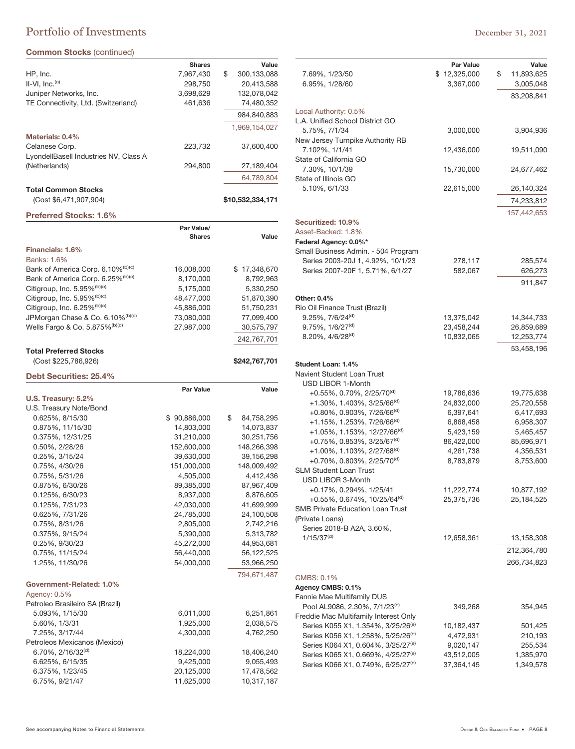### **Common Stocks** (continued)

|                                         | <b>Shares</b>             | Value                     |
|-----------------------------------------|---------------------------|---------------------------|
| HP, Inc.                                | 7,967,430                 | \$<br>300,133,088         |
| II-VI, Inc. <sup>(a)</sup>              | 298,750                   | 20,413,588                |
| Juniper Networks, Inc.                  | 3,698,629                 | 132,078,042               |
| TE Connectivity, Ltd. (Switzerland)     | 461,636                   | 74,480,352                |
|                                         |                           | 984,840,883               |
|                                         |                           | 1,969,154,027             |
| Materials: 0.4%                         |                           |                           |
| Celanese Corp.                          | 223,732                   | 37,600,400                |
| LyondellBasell Industries NV, Class A   |                           |                           |
| (Netherlands)                           | 294,800                   | 27,189,404                |
|                                         |                           | 64,789,804                |
| <b>Total Common Stocks</b>              |                           |                           |
| (Cost \$6,471,907,904)                  |                           | \$10,532,334,171          |
|                                         |                           |                           |
| <b>Preferred Stocks: 1.6%</b>           |                           |                           |
|                                         | Par Value/                |                           |
|                                         | <b>Shares</b>             | Value                     |
| Financials: 1.6%                        |                           |                           |
| <b>Banks: 1.6%</b>                      |                           |                           |
| Bank of America Corp. 6.10% (b)(c)      | 16,008,000                | \$17,348,670              |
| Bank of America Corp. 6.25% (b)(c)      | 8,170,000                 | 8,792,963                 |
| Citigroup, Inc. 5.95% (b)(c)            | 5,175,000                 | 5,330,250                 |
| Citigroup, Inc. 5.95% (b)(c)            | 48,477,000                | 51,870,390                |
| Citigroup, Inc. 6.25% <sup>(b)(c)</sup> | 45,886,000                | 51,750,231                |
| JPMorgan Chase & Co. 6.10% (b)(c)       | 73,080,000                | 77,099,400                |
| Wells Fargo & Co. 5.875% (b)(c)         | 27,987,000                | 30,575,797                |
|                                         |                           | 242,767,701               |
| <b>Total Preferred Stocks</b>           |                           |                           |
| (Cost \$225,786,926)                    |                           | \$242,767,701             |
|                                         |                           |                           |
|                                         |                           |                           |
| Debt Securities: 25.4%                  |                           |                           |
|                                         | <b>Par Value</b>          | Value                     |
| U.S. Treasury: 5.2%                     |                           |                           |
| U.S. Treasury Note/Bond                 |                           |                           |
| 0.625%, 8/15/30                         | \$90,886,000              | \$<br>84,758,295          |
| 0.875%, 11/15/30                        | 14,803,000                | 14,073,837                |
| 0.375%, 12/31/25                        | 31,210,000                | 30,251,756<br>148,266,398 |
| 0.50%, 2/28/26<br>0.25%, 3/15/24        | 152,600,000<br>39,630,000 | 39,156,298                |
| 0.75%, 4/30/26                          | 151,000,000               | 148,009,492               |
| 0.75%, 5/31/26                          | 4,505,000                 | 4,412,436                 |
| 0.875%, 6/30/26                         | 89,385,000                | 87,967,409                |
| 0.125%, 6/30/23                         | 8,937,000                 | 8,876,605                 |
| 0.125%, 7/31/23                         | 42,030,000                | 41,699,999                |
| 0.625%, 7/31/26                         | 24,785,000                | 24,100,508                |
| 0.75%, 8/31/26                          | 2,805,000                 | 2,742,216                 |
| 0.375%, 9/15/24                         | 5,390,000                 | 5,313,782                 |
| 0.25%, 9/30/23                          | 45,272,000                | 44,953,681                |
| 0.75%, 11/15/24                         | 56,440,000                | 56,122,525                |
| 1.25%, 11/30/26                         | 54,000,000                | 53,966,250                |
|                                         |                           | 794,671,487               |
| Government-Related: 1.0%                |                           |                           |
| Agency: 0.5%                            |                           |                           |
| Petroleo Brasileiro SA (Brazil)         |                           |                           |
| 5.093%, 1/15/30                         | 6,011,000                 | 6,251,861                 |
| 5.60%, 1/3/31                           | 1,925,000                 | 2,038,575                 |
| 7.25%, 3/17/44                          | 4,300,000                 | 4,762,250                 |
| Petroleos Mexicanos (Mexico)            |                           |                           |
| 6.70%, 2/16/32 <sup>(d)</sup>           | 18,224,000                | 18,406,240                |
| 6.625%, 6/15/35                         | 9,425,000                 | 9,055,493                 |
| 6.375%, 1/23/45<br>6.75%, 9/21/47       | 20,125,000<br>11,625,000  | 17,478,562<br>10,317,187  |

|                                     | Par Value    | Value            |
|-------------------------------------|--------------|------------------|
| 7.69%, 1/23/50                      | \$12,325,000 | \$<br>11,893,625 |
| 6.95%, 1/28/60                      | 3,367,000    | 3,005,048        |
|                                     |              | 83,208,841       |
| Local Authority: 0.5%               |              |                  |
| L.A. Unified School District GO     |              |                  |
| 5.75%, 7/1/34                       | 3,000,000    | 3,904,936        |
| New Jersey Turnpike Authority RB    |              |                  |
| 7.102%, 1/1/41                      | 12,436,000   | 19,511,090       |
| State of California GO              |              |                  |
| 7.30%, 10/1/39                      | 15,730,000   | 24,677,462       |
| State of Illinois GO                |              |                  |
| 5.10%, 6/1/33                       | 22,615,000   | 26,140,324       |
|                                     |              | 74,233,812       |
|                                     |              | 157,442,653      |
| Securitized: 10.9%                  |              |                  |
| Asset-Backed: 1.8%                  |              |                  |
| Federal Agency: 0.0%*               |              |                  |
| Small Business Admin. - 504 Program |              |                  |
| Series 2003-20J 1, 4.92%, 10/1/23   | 278,117      | 285,574          |
| Series 2007-20F 1, 5.71%, 6/1/27    | 582,067      | 626,273          |
|                                     |              | 911,847          |
| Other: 0.4%                         |              |                  |
| Rio Oil Finance Trust (Brazil)      |              |                  |
| 9.25%, 7/6/24 <sup>(d)</sup>        | 13,375,042   | 14,344,733       |
| $9.75\%$ , $1/6/27(d)$              | 23,458,244   | 26,859,689       |
| 8.20%, 4/6/28 <sup>(d)</sup>        | 10,832,065   | 12,253,774       |
|                                     |              | 53,458,196       |
| Student Loan: 1.4%                  |              |                  |
| Navient Student Loan Trust          |              |                  |
| USD LIBOR 1-Month                   |              |                  |

| Student Loan: 1.4%                             |            |             |
|------------------------------------------------|------------|-------------|
| Navient Student Loan Trust                     |            |             |
| USD LIBOR 1-Month                              |            |             |
| $+0.55\%$ , 0.70%, 2/25/70 <sup>(d)</sup>      | 19,786,636 | 19,775,638  |
| $+1.30\%$ , 1.403%, 3/25/66 <sup>(d)</sup>     | 24,832,000 | 25,720,558  |
| $+0.80\%$ , 0.903%, 7/26/66 <sup>(d)</sup>     | 6,397,641  | 6,417,693   |
| $+1.15\%$ , 1.253%, 7/26/66 <sup>(d)</sup>     | 6,868,458  | 6,958,307   |
| $+1.05\%$ , 1.153%, 12/27/66 <sup>(d)</sup>    | 5,423,159  | 5,465,457   |
| $+0.75\%$ , 0.853%, 3/25/67 <sup>(d)</sup>     | 86,422,000 | 85,696,971  |
| $+1.00\%$ , 1.103%, 2/27/68 <sup>(d)</sup>     | 4,261,738  | 4,356,531   |
| $+0.70\%$ , 0.803%, 2/25/70 <sup>(d)</sup>     | 8,783,879  | 8,753,600   |
| <b>SLM Student Loan Trust</b>                  |            |             |
| USD LIBOR 3-Month                              |            |             |
| +0.17%, 0.294%, 1/25/41                        | 11,222,774 | 10,877,192  |
| $+0.55\%$ , 0.674%, 10/25/64 <sup>(d)</sup>    | 25,375,736 | 25,184,525  |
| <b>SMB Private Education Loan Trust</b>        |            |             |
| (Private Loans)                                |            |             |
| Series 2018-B A2A, 3.60%,                      |            |             |
| $1/15/37^{(d)}$                                | 12,658,361 | 13,158,308  |
|                                                |            | 212,364,780 |
|                                                |            | 266,734,823 |
| CMBS: 0.1%                                     |            |             |
| Agency CMBS: 0.1%                              |            |             |
| Fannie Mae Multifamily DUS                     |            |             |
| Pool AL9086, 2.30%, 7/1/23 <sup>(e)</sup>      | 349,268    | 354,945     |
| Freddie Mac Multifamily Interest Only          |            |             |
| Series K055 X1, 1.354%, 3/25/26 <sup>(e)</sup> | 10,182,437 | 501,425     |
| Series K056 X1, 1.258%, 5/25/26 <sup>(e)</sup> | 4,472,931  | 210,193     |
| Series K064 X1, 0.604%, 3/25/27 <sup>(e)</sup> | 9,020,147  | 255,534     |
| Series K065 X1, 0.669%, 4/25/27 <sup>(e)</sup> | 43,512,005 | 1,385,970   |
| Series K066 X1, 0.749%, 6/25/27 <sup>(e)</sup> | 37,364,145 | 1,349,578   |

Series K066 X1, 0.749%, 6/25/27<sup>(e)</sup>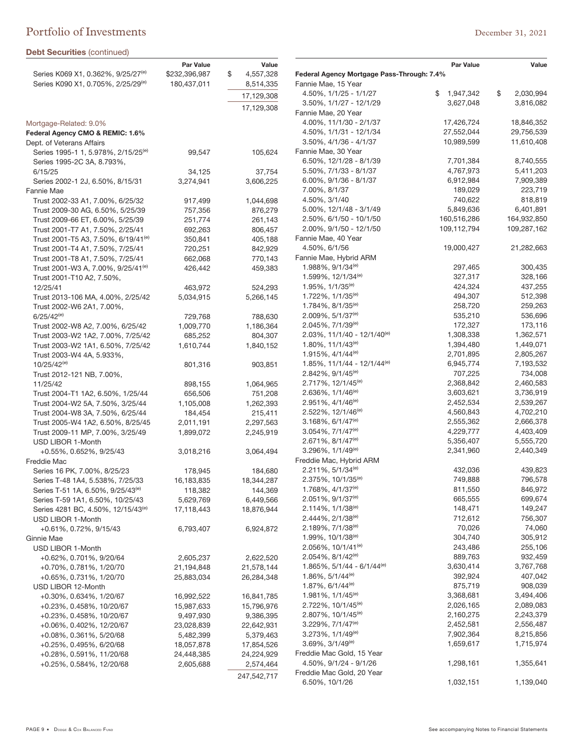### **Debt Securities** (continued)

| Series K069 X1, 0.362%, 9/25/27 <sup>(e)</sup>                       | Par Value<br>\$232,396,987 | Value<br>\$<br>4,557,328 | <b>Federal Agency Mortgage</b>                                    |
|----------------------------------------------------------------------|----------------------------|--------------------------|-------------------------------------------------------------------|
| Series K090 X1, 0.705%, 2/25/29 <sup>(e)</sup>                       | 180,437,011                | 8,514,335                | Fannie Mae, 15 Year                                               |
|                                                                      |                            | 17,129,308               | 4.50%, 1/1/25 - 1/1/27<br>3.50%, 1/1/27 - 12/1/29                 |
|                                                                      |                            | 17,129,308               | Fannie Mae, 20 Year                                               |
| Mortgage-Related: 9.0%                                               |                            |                          | 4.00%, 11/1/30 - 2/1/37                                           |
| Federal Agency CMO & REMIC: 1.6%                                     |                            |                          | 4.50%, 1/1/31 - 12/1/34                                           |
| Dept. of Veterans Affairs                                            |                            |                          | $3.50\%$ , $4/1/36 - 4/1/37$                                      |
| Series 1995-1 1, 5.978%, 2/15/25 <sup>(e)</sup>                      | 99,547                     | 105,624                  | Fannie Mae, 30 Year                                               |
| Series 1995-2C 3A, 8.793%,                                           |                            |                          | 6.50%, 12/1/28 - 8/1/39                                           |
| 6/15/25                                                              | 34,125                     | 37,754                   | 5.50%, 7/1/33 - 8/1/37                                            |
| Series 2002-1 2J, 6.50%, 8/15/31                                     | 3,274,941                  | 3,606,225                | $6.00\%$ , $9/1/36 - 8/1/37$                                      |
| Fannie Mae                                                           |                            |                          | 7.00%, 8/1/37                                                     |
| Trust 2002-33 A1, 7.00%, 6/25/32                                     | 917,499                    | 1,044,698                | 4.50%, 3/1/40<br>5.00%, 12/1/48 - 3/1/49                          |
| Trust 2009-30 AG, 6.50%, 5/25/39<br>Trust 2009-66 ET, 6.00%, 5/25/39 | 757,356<br>251,774         | 876,279<br>261,143       | 2.50%, 6/1/50 - 10/1/50                                           |
| Trust 2001-T7 A1, 7.50%, 2/25/41                                     | 692,263                    | 806,457                  | 2.00%, 9/1/50 - 12/1/50                                           |
| Trust 2001-T5 A3, 7.50%, 6/19/41 <sup>(e)</sup>                      | 350,841                    | 405,188                  | Fannie Mae, 40 Year                                               |
| Trust 2001-T4 A1, 7.50%, 7/25/41                                     | 720,251                    | 842,929                  | 4.50%, 6/1/56                                                     |
| Trust 2001-T8 A1, 7.50%, 7/25/41                                     | 662,068                    | 770,143                  | Fannie Mae, Hybrid ARM                                            |
| Trust 2001-W3 A, 7.00%, 9/25/41 <sup>(e)</sup>                       | 426,442                    | 459,383                  | 1.988%, 9/1/34 <sup>(e)</sup>                                     |
| Trust 2001-T10 A2, 7.50%,                                            |                            |                          | 1.599%, $12/1/34^{(e)}$                                           |
| 12/25/41                                                             | 463,972                    | 524,293                  | 1.95%, $1/1/35^{(e)}$                                             |
| Trust 2013-106 MA, 4.00%, 2/25/42                                    | 5,034,915                  | 5,266,145                | $1.722\%, 1/1/35^{(e)}$                                           |
| Trust 2002-W6 2A1, 7.00%,                                            |                            |                          | $1.784\%, 8/1/35^{(e)}$                                           |
| $6/25/42^{(e)}$                                                      | 729,768                    | 788,630                  | $2.009\%, 5/1/37^{(e)}$                                           |
| Trust 2002-W8 A2, 7.00%, 6/25/42                                     | 1,009,770                  | 1,186,364                | $2.045\%, 7/1/39^{(e)}$<br>2.03%, 11/1/40 - 12/1/4                |
| Trust 2003-W2 1A2, 7.00%, 7/25/42                                    | 685,252                    | 804,307                  | 1.80%, 11/1/43 <sup>(e)</sup>                                     |
| Trust 2003-W2 1A1, 6.50%, 7/25/42<br>Trust 2003-W4 4A, 5.933%,       | 1,610,744                  | 1,840,152                | $1.915\%, \frac{4}{1.44}$ <sup>(e)</sup>                          |
| $10/25/42^{(e)}$                                                     | 801,316                    | 903,851                  | 1.85%, 11/1/44 - 12/1/4                                           |
| Trust 2012-121 NB, 7.00%,                                            |                            |                          | $2.842\%, 9/1/45^{(e)}$                                           |
| 11/25/42                                                             | 898,155                    | 1,064,965                | 2.717%, 12/1/45 <sup>(e)</sup>                                    |
| Trust 2004-T1 1A2, 6.50%, 1/25/44                                    | 656,506                    | 751,208                  | 2.636%, 1/1/46 <sup>(e)</sup>                                     |
| Trust 2004-W2 5A, 7.50%, 3/25/44                                     | 1,105,008                  | 1,262,393                | $2.951\%, \frac{4}{146}$ <sup>(e)</sup>                           |
| Trust 2004-W8 3A, 7.50%, 6/25/44                                     | 184,454                    | 215,411                  | 2.522%, 12/1/46 <sup>(e)</sup>                                    |
| Trust 2005-W4 1A2, 6.50%, 8/25/45                                    | 2,011,191                  | 2,297,563                | $3.168\%, 6/1/47^{(e)}$                                           |
| Trust 2009-11 MP, 7.00%, 3/25/49                                     | 1,899,072                  | 2,245,919                | $3.054\%, 7/1/47^{(e)}$                                           |
| USD LIBOR 1-Month                                                    |                            |                          | $2.671\%$ , $8/1/47(e)$                                           |
| +0.55%, 0.652%, 9/25/43                                              | 3,018,216                  | 3,064,494                | 3.296%, 1/1/49 <sup>(e)</sup><br>Freddie Mac, Hybrid ARM          |
| Freddie Mac<br>Series 16 PK, 7.00%, 8/25/23                          |                            | 184,680                  | $2.211\%, 5/1/34^{(e)}$                                           |
| Series T-48 1A4, 5.538%, 7/25/33                                     | 178,945<br>16,183,835      | 18,344,287               | 2.375%, 10/1/35 <sup>(e)</sup>                                    |
| Series T-51 1A, 6.50%, 9/25/43 <sup>(e)</sup>                        | 118,382                    | 144,369                  | $1.768\%,\,4/1/37^{(e)}$                                          |
| Series T-59 1A1, 6.50%, 10/25/43                                     | 5,629,769                  | 6,449,566                | $2.051\%, 9/1/37^{(e)}$                                           |
| Series 4281 BC, 4.50%, 12/15/43 <sup>(e)</sup>                       | 17,118,443                 | 18,876,944               | $2.114\%, 1/1/38^{(e)}$                                           |
| USD LIBOR 1-Month                                                    |                            |                          | $2.444\%, 2/1/38^{(e)}$                                           |
| +0.61%, 0.72%, 9/15/43                                               | 6,793,407                  | 6,924,872                | $2.189\%, 7/1/38^{(e)}$                                           |
| Ginnie Mae                                                           |                            |                          | $1.99\%, 10/1/38^{(e)}$                                           |
| USD LIBOR 1-Month                                                    |                            |                          | 2.056%, 10/1/41 <sup>(e)</sup>                                    |
| +0.62%, 0.701%, 9/20/64                                              | 2,605,237                  | 2,622,520                | $2.054\%, 8/1/42^{(e)}$                                           |
| +0.70%, 0.781%, 1/20/70                                              | 21,194,848                 | 21,578,144               | 1.865%, 5/1/44 - 6/1/44                                           |
| +0.65%, 0.731%, 1/20/70                                              | 25,883,034                 | 26,284,348               | $1.86\%, 5/1/44^{(e)}$                                            |
| USD LIBOR 12-Month                                                   |                            |                          | $1.87\%$ , 6/1/44 <sup>(e)</sup><br>1.981%, 1/1/45 <sup>(e)</sup> |
| +0.30%, 0.634%, 1/20/67                                              | 16,992,522                 | 16,841,785               | 2.722%, 10/1/45 <sup>(e)</sup>                                    |
| +0.23%, 0.458%, 10/20/67<br>+0.23%, 0.458%, 10/20/67                 | 15,987,633                 | 15,796,976               | 2.807%, 10/1/45 <sup>(e)</sup>                                    |
| +0.06%, 0.402%, 12/20/67                                             | 9,497,930<br>23,028,839    | 9,386,395<br>22,642,931  | $3.229\%, 7/1/47^{(e)}$                                           |
| +0.08%, 0.361%, 5/20/68                                              | 5,482,399                  | 5,379,463                | $3.273\%$ , $1/1/49$ <sup>(e)</sup>                               |
| +0.25%, 0.495%, 6/20/68                                              | 18,057,878                 | 17,854,526               | $3.69\%, 3/1/49^{(e)}$                                            |
| +0.28%, 0.591%, 11/20/68                                             | 24,448,385                 | 24,224,929               | Freddie Mac Gold, 15 Yea                                          |
| +0.25%, 0.584%, 12/20/68                                             | 2,605,688                  | 2,574,464                | 4.50%, 9/1/24 - 9/1/26                                            |
|                                                                      |                            | 247,542,717              | Freddie Mac Gold, 20 Yea                                          |
|                                                                      |                            |                          | 65004 10/1/26                                                     |

| Federal Agency Mortgage Pass-Through: 7.4%               | <b>Par Value</b>           | Value                      |
|----------------------------------------------------------|----------------------------|----------------------------|
| Fannie Mae, 15 Year                                      |                            |                            |
| 4.50%, 1/1/25 - 1/1/27                                   | \$<br>1,947,342            | \$<br>2,030,994            |
| 3.50%, 1/1/27 - 12/1/29                                  | 3,627,048                  | 3,816,082                  |
| Fannie Mae, 20 Year                                      |                            |                            |
| 4.00%, 11/1/30 - 2/1/37                                  | 17,426,724                 | 18,846,352                 |
| 4.50%, 1/1/31 - 12/1/34                                  | 27,552,044                 | 29,756,539                 |
| 3.50%, 4/1/36 - 4/1/37                                   | 10,989,599                 | 11,610,408                 |
| Fannie Mae, 30 Year                                      |                            |                            |
| 6.50%, 12/1/28 - 8/1/39                                  | 7,701,384                  | 8,740,555                  |
| 5.50%, 7/1/33 - 8/1/37                                   | 4,767,973                  | 5,411,203                  |
| $6.00\%$ , $9/1/36 - 8/1/37$                             | 6,912,984                  | 7,909,389                  |
| 7.00%, 8/1/37                                            | 189,029                    | 223,719                    |
| 4.50%, 3/1/40                                            | 740,622                    | 818,819                    |
| 5.00%, 12/1/48 - 3/1/49                                  | 5,849,636                  | 6,401,891                  |
| 2.50%, 6/1/50 - 10/1/50<br>2.00%, 9/1/50 - 12/1/50       | 160,516,286<br>109,112,794 | 164,932,850<br>109,287,162 |
| Fannie Mae, 40 Year                                      |                            |                            |
| 4.50%, 6/1/56                                            | 19,000,427                 | 21,282,663                 |
| Fannie Mae, Hybrid ARM                                   |                            |                            |
| 1.988%, 9/1/34 <sup>(e)</sup>                            | 297,465                    | 300,435                    |
| 1.599%, 12/1/34 <sup>(e)</sup>                           | 327,317                    | 328,166                    |
| $1.95\%$ , $1/1/35^{(e)}$                                | 424,324                    | 437,255                    |
| 1.722%, 1/1/35 <sup>(e)</sup>                            | 494,307                    | 512,398                    |
| 1.784%, 8/1/35 <sup>(e)</sup>                            | 258,720                    | 259,263                    |
| $2.009\%$ , 5/1/37 <sup>(e)</sup>                        | 535,210                    | 536,696                    |
| $2.045\%, 7/1/39^{(e)}$                                  | 172,327                    | 173,116                    |
| 2.03%, 11/1/40 - 12/1/40 <sup>(e)</sup>                  | 1,308,338                  | 1,362,571                  |
| $1.80\%$ , $11/1/43^{(e)}$                               | 1,394,480                  | 1,449,071                  |
| 1.915%, 4/1/44 <sup>(e)</sup>                            | 2,701,895                  | 2,805,267                  |
| 1.85%, 11/1/44 - 12/1/44 <sup>(e)</sup>                  | 6,945,774                  | 7,193,532                  |
| $2.842\%$ , 9/1/45 <sup>(e)</sup>                        | 707,225                    | 734,008                    |
| 2.717%, 12/1/45 <sup>(e)</sup>                           | 2,368,842                  | 2,460,583                  |
| $2.636\%, 1/1/46^{(e)}$                                  | 3,603,621                  | 3,736,919                  |
| 2.951%, 4/1/46 <sup>(e)</sup>                            | 2,452,534                  | 2,539,267                  |
| $2.522\%$ , 12/1/46 <sup>(e)</sup>                       | 4,560,843                  | 4,702,210                  |
| 3.168%, 6/1/47 <sup>(e)</sup>                            | 2,555,362                  | 2,666,378                  |
| 3.054%, 7/1/47 <sup>(e)</sup>                            | 4,229,777                  | 4,403,409                  |
| 2.671%, 8/1/47 <sup>(e)</sup>                            | 5,356,407                  | 5,555,720                  |
| 3.296%, 1/1/49 <sup>(e)</sup>                            | 2,341,960                  | 2,440,349                  |
| Freddie Mac, Hybrid ARM                                  |                            |                            |
| 2.211%, 5/1/34 <sup>(e)</sup>                            | 432,036                    | 439,823                    |
| 2.375%, 10/1/35 <sup>(e)</sup>                           | 749,888                    | 796,578                    |
| 1.768%, $4/1/37^{(e)}$                                   | 811,550                    | 846,972                    |
| $2.051\%, 9/1/37^{(e)}$                                  | 665,555                    | 699,674                    |
| $2.114\%, 1/1/38^{(e)}$                                  | 148,471                    | 149,247                    |
| 2.444%, 2/1/38 <sup>(e)</sup>                            | 712,612                    | 756,307                    |
| $2.189\%, 7/1/38^{(e)}$<br>1.99%, 10/1/38 <sup>(e)</sup> | 70,026<br>304,740          | 74,060                     |
| 2.056%, 10/1/41 <sup>(e)</sup>                           | 243,486                    | 305,912<br>255,106         |
| $2.054\%$ , $8/1/42^{(e)}$                               | 889,763                    | 932,459                    |
| $1.865\%, 5/1/44 - 6/1/44^{(e)}$                         | 3,630,414                  | 3,767,768                  |
| 1.86%, 5/1/44 <sup>(e)</sup>                             | 392,924                    | 407,042                    |
| 1.87%, 6/1/44 <sup>(e)</sup>                             | 875,719                    | 908,039                    |
| 1.981%, 1/1/45 <sup>(e)</sup>                            | 3,368,681                  | 3,494,406                  |
| 2.722%, 10/1/45 <sup>(e)</sup>                           | 2,026,165                  | 2,089,083                  |
| 2.807%, 10/1/45 <sup>(e)</sup>                           | 2,160,275                  | 2,243,379                  |
| 3.229%, 7/1/47 <sup>(e)</sup>                            | 2,452,581                  | 2,556,487                  |
| 3.273%, 1/1/49 <sup>(e)</sup>                            | 7,902,364                  | 8,215,856                  |
| $3.69\%, 3/1/49^{(e)}$                                   | 1,659,617                  | 1,715,974                  |
| Freddie Mac Gold, 15 Year                                |                            |                            |
| 4.50%, 9/1/24 - 9/1/26                                   | 1,298,161                  | 1,355,641                  |
| Freddie Mac Gold, 20 Year                                |                            |                            |
| 6.50%, 10/1/26                                           | 1,032,151                  | 1,139,040                  |
|                                                          |                            |                            |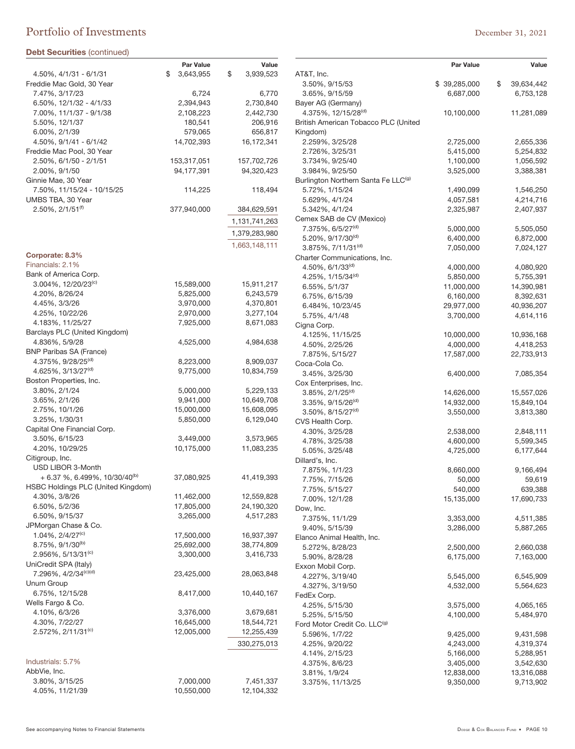### **Debt Securities** (continued)

|                                             | <b>Par Value</b>        | Value                   |
|---------------------------------------------|-------------------------|-------------------------|
| $4.50\%$ , $4/1/31 - 6/1/31$                | \$<br>3,643,955         | \$<br>3,939,523         |
| Freddie Mac Gold, 30 Year                   |                         |                         |
| 7.47%, 3/17/23                              | 6,724                   | 6,770                   |
| 6.50%, 12/1/32 - 4/1/33                     | 2,394,943               | 2,730,840               |
| 7.00%, 11/1/37 - 9/1/38                     | 2,108,223               | 2,442,730               |
| 5.50%, 12/1/37                              | 180,541                 | 206,916                 |
| 6.00%, 2/1/39                               | 579,065                 | 656,817                 |
| 4.50%, 9/1/41 - 6/1/42                      | 14,702,393              | 16,172,341              |
| Freddie Mac Pool, 30 Year                   |                         |                         |
| 2.50%, 6/1/50 - 2/1/51                      | 153,317,051             | 157,702,726             |
| 2.00%, 9/1/50                               | 94,177,391              | 94,320,423              |
| Ginnie Mae, 30 Year                         |                         |                         |
| 7.50%, 11/15/24 - 10/15/25                  | 114,225                 | 118,494                 |
| UMBS TBA, 30 Year                           |                         |                         |
| 2.50%, 2/1/51 <sup>(f)</sup>                | 377,940,000             | 384,629,591             |
|                                             |                         | 1,131,741,263           |
|                                             |                         | 1,379,283,980           |
|                                             |                         |                         |
|                                             |                         | 1,663,148,111           |
| Corporate: 8.3%<br>Financials: 2.1%         |                         |                         |
| Bank of America Corp.                       |                         |                         |
| 3.004%, 12/20/23 <sup>(c)</sup>             |                         |                         |
| 4.20%, 8/26/24                              | 15,589,000<br>5,825,000 | 15,911,217<br>6,243,579 |
| 4.45%, 3/3/26                               | 3,970,000               | 4,370,801               |
| 4.25%, 10/22/26                             | 2,970,000               | 3,277,104               |
| 4.183%, 11/25/27                            | 7,925,000               | 8,671,083               |
| Barclays PLC (United Kingdom)               |                         |                         |
| 4.836%, 5/9/28                              | 4,525,000               | 4,984,638               |
| <b>BNP Paribas SA (France)</b>              |                         |                         |
| 4.375%, 9/28/25 <sup>(d)</sup>              | 8,223,000               | 8,909,037               |
| 4.625%, 3/13/27 <sup>(d)</sup>              | 9,775,000               | 10,834,759              |
| Boston Properties, Inc.                     |                         |                         |
| 3.80%, 2/1/24                               | 5,000,000               | 5,229,133               |
| 3.65%, 2/1/26                               | 9,941,000               | 10,649,708              |
| 2.75%, 10/1/26                              | 15,000,000              | 15,608,095              |
| 3.25%, 1/30/31                              | 5,850,000               | 6,129,040               |
| Capital One Financial Corp.                 |                         |                         |
| 3.50%, 6/15/23                              | 3,449,000               | 3,573,965               |
| 4.20%, 10/29/25                             | 10,175,000              | 11,083,235              |
| Citigroup, Inc.                             |                         |                         |
| USD LIBOR 3-Month                           |                         |                         |
| $+6.37\%$ , 6.499%, 10/30/40 <sup>(b)</sup> | 37,080,925              | 41,419,393              |
| HSBC Holdings PLC (United Kingdom)          |                         |                         |
| 4.30%, 3/8/26                               | 11,462,000              | 12,559,828              |
| 6.50%, 5/2/36                               | 17,805,000              | 24,190,320              |
| 6.50%, 9/15/37                              | 3,265,000               | 4,517,283               |
| JPMorgan Chase & Co.                        |                         |                         |
| 1.04%, 2/4/27 <sup>(c)</sup>                | 17,500,000              | 16,937,397              |
| $8.75\%$ , 9/1/30 <sup>(b)</sup>            | 25,692,000              | 38,774,809              |
| $2.956\%$ , 5/13/31 <sup>(c)</sup>          | 3,300,000               | 3,416,733               |
| UniCredit SPA (Italy)                       |                         |                         |
| 7.296%, 4/2/34(c)(d)                        | 23,425,000              | 28,063,848              |
| Unum Group                                  |                         |                         |
| 6.75%, 12/15/28                             | 8,417,000               | 10,440,167              |
| Wells Fargo & Co.                           |                         |                         |
| 4.10%, 6/3/26                               | 3,376,000               | 3,679,681               |
| 4.30%, 7/22/27                              | 16,645,000              | 18,544,721              |
| $2.572\%$ , $2/11/31(c)$                    | 12,005,000              | 12,255,439              |
|                                             |                         | 330,275,013             |
|                                             |                         |                         |
| Industrials: 5.7%                           |                         |                         |
| AbbVie, Inc.                                |                         |                         |
| 3.80%, 3/15/25                              | 7,000,000               | 7,451,337               |
| 4.05%, 11/21/39                             | 10,550,000              | 12,104,332              |

|                                                 | Par Value              | Value                  |
|-------------------------------------------------|------------------------|------------------------|
| AT&T, Inc.                                      |                        |                        |
| 3.50%, 9/15/53                                  | \$39,285,000           | \$<br>39,634,442       |
| 3.65%, 9/15/59                                  | 6,687,000              | 6,753,128              |
| Bayer AG (Germany)                              |                        |                        |
| 4.375%, 12/15/28 <sup>(d)</sup>                 | 10,100,000             | 11,281,089             |
| British American Tobacco PLC (United            |                        |                        |
| Kingdom)                                        |                        |                        |
| 2.259%, 3/25/28                                 | 2,725,000              | 2,655,336              |
| 2.726%, 3/25/31<br>3.734%, 9/25/40              | 5,415,000              | 5,254,832              |
| 3.984%, 9/25/50                                 | 1,100,000<br>3,525,000 | 1,056,592<br>3,388,381 |
| Burlington Northern Santa Fe LLC <sup>(g)</sup> |                        |                        |
| 5.72%, 1/15/24                                  | 1,490,099              | 1,546,250              |
| 5.629%, 4/1/24                                  | 4,057,581              | 4,214,716              |
| 5.342%, 4/1/24                                  | 2,325,987              | 2,407,937              |
| Cemex SAB de CV (Mexico)                        |                        |                        |
| 7.375%, 6/5/27 <sup>(d)</sup>                   | 5,000,000              | 5,505,050              |
| $5.20\%$ , 9/17/30 <sup>(d)</sup>               | 6,400,000              | 6,872,000              |
| $3.875\%, 7/11/31^{(d)}$                        | 7,050,000              | 7,024,127              |
| Charter Communications, Inc.                    |                        |                        |
| 4.50%, 6/1/33(d)                                | 4,000,000              | 4,080,920              |
| 4.25%, $1/15/34$ <sup>(d)</sup>                 | 5,850,000              | 5,755,391              |
| 6.55%, 5/1/37                                   | 11,000,000             | 14,390,981             |
| 6.75%, 6/15/39                                  | 6,160,000              | 8,392,631              |
| 6.484%, 10/23/45                                | 29,977,000             | 40,936,207             |
| 5.75%, 4/1/48                                   | 3,700,000              | 4,614,116              |
| Cigna Corp.<br>4.125%, 11/15/25                 | 10,000,000             | 10,936,168             |
| 4.50%, 2/25/26                                  | 4,000,000              | 4,418,253              |
| 7.875%, 5/15/27                                 | 17,587,000             | 22,733,913             |
| Coca-Cola Co.                                   |                        |                        |
| 3.45%, 3/25/30                                  | 6,400,000              | 7,085,354              |
| Cox Enterprises, Inc.                           |                        |                        |
| 3.85%, 2/1/25 <sup>(d)</sup>                    | 14,626,000             | 15,557,026             |
| $3.35\%$ , 9/15/26 <sup>(d)</sup>               | 14,932,000             | 15,849,104             |
| $3.50\%$ , $8/15/27^{(d)}$                      | 3,550,000              | 3,813,380              |
| CVS Health Corp.                                |                        |                        |
| 4.30%, 3/25/28                                  | 2,538,000              | 2,848,111              |
| 4.78%, 3/25/38                                  | 4,600,000              | 5,599,345              |
| 5.05%, 3/25/48                                  | 4,725,000              | 6,177,644              |
| Dillard's, Inc.                                 |                        |                        |
| 7.875%, 1/1/23<br>7.75%, 7/15/26                | 8,660,000<br>50,000    | 9,166,494<br>59,619    |
| 7.75%, 5/15/27                                  | 540,000                | 639,388                |
| 7.00%, 12/1/28                                  | 15,135,000             | 17,690,733             |
| Dow, Inc.                                       |                        |                        |
| 7.375%, 11/1/29                                 | 3,353,000              | 4,511,385              |
| 9.40%, 5/15/39                                  | 3,286,000              | 5,887,265              |
| Elanco Animal Health, Inc.                      |                        |                        |
| 5.272%, 8/28/23                                 | 2,500,000              | 2,660,038              |
| 5.90%, 8/28/28                                  | 6,175,000              | 7,163,000              |
| Exxon Mobil Corp.                               |                        |                        |
| 4.227%, 3/19/40                                 | 5,545,000              | 6,545,909              |
| 4.327%, 3/19/50                                 | 4,532,000              | 5,564,623              |
| FedEx Corp.                                     |                        |                        |
| 4.25%, 5/15/30                                  | 3,575,000              | 4,065,165              |
| 5.25%, 5/15/50                                  | 4,100,000              | 5,484,970              |
| Ford Motor Credit Co. LLC <sup>(g)</sup>        |                        |                        |
| 5.596%, 1/7/22                                  | 9,425,000              | 9,431,598              |
| 4.25%, 9/20/22<br>4.14%, 2/15/23                | 4,243,000              | 4,319,374              |
| 4.375%, 8/6/23                                  | 5,166,000<br>3,405,000 | 5,288,951<br>3,542,630 |
| 3.81%, 1/9/24                                   | 12,838,000             | 13,316,088             |
| 3.375%, 11/13/25                                | 9,350,000              | 9,713,902              |
|                                                 |                        |                        |

See accompanying Notes to Financial Statements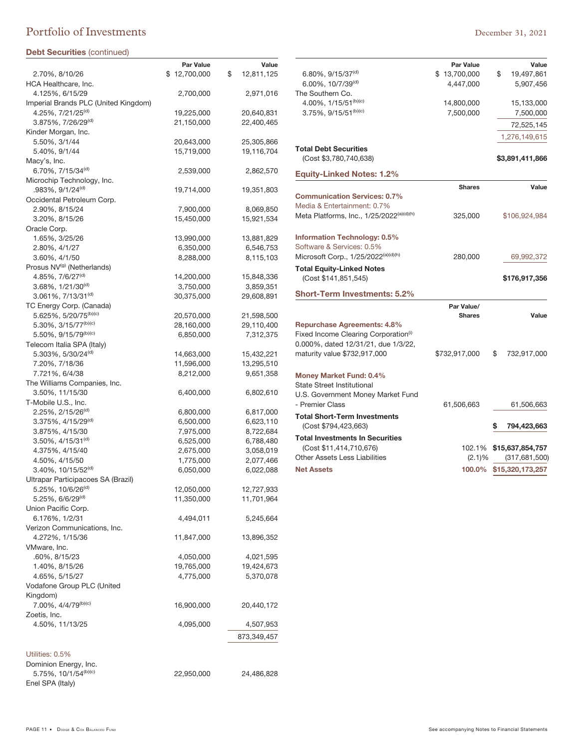### **Debt Securities** (continued)

|                                                      | <b>Par Value</b>         | Value            |
|------------------------------------------------------|--------------------------|------------------|
| 2.70%, 8/10/26                                       | \$12,700,000             | \$<br>12,811,125 |
| HCA Healthcare, Inc.                                 |                          |                  |
| 4.125%, 6/15/29                                      | 2,700,000                | 2,971,016        |
| Imperial Brands PLC (United Kingdom)                 |                          |                  |
| 4.25%, 7/21/25 <sup>(d)</sup>                        | 19,225,000               | 20,640,831       |
| 3.875%, 7/26/29 <sup>(d)</sup>                       | 21,150,000               | 22,400,465       |
| Kinder Morgan, Inc.                                  |                          |                  |
| 5.50%, 3/1/44                                        | 20,643,000               | 25,305,866       |
| 5.40%, 9/1/44                                        | 15,719,000               | 19,116,704       |
| Macy's, Inc.                                         |                          |                  |
| 6.70%, 7/15/34 <sup>(d)</sup>                        | 2,539,000                | 2,862,570        |
| Microchip Technology, Inc.                           |                          |                  |
| .983%, 9/1/24 <sup>(d)</sup>                         | 19,714,000               | 19,351,803       |
| Occidental Petroleum Corp.                           |                          |                  |
| 2.90%, 8/15/24                                       | 7,900,000                | 8,069,850        |
| 3.20%, 8/15/26                                       | 15,450,000               | 15,921,534       |
| Oracle Corp.                                         |                          |                  |
| 1.65%, 3/25/26                                       | 13,990,000               | 13,881,829       |
| 2.80%, 4/1/27                                        | 6,350,000                | 6,546,753        |
| 3.60%, 4/1/50                                        | 8,288,000                | 8,115,103        |
| Prosus NV <sup>(g)</sup> (Netherlands)               |                          |                  |
| 4.85%, 7/6/27 <sup>(d)</sup>                         | 14,200,000               | 15,848,336       |
| $3.68\%$ , 1/21/30 $^{\rm (d)}$                      | 3,750,000                | 3,859,351        |
| 3.061%, 7/13/31 <sup>(d)</sup>                       | 30,375,000               | 29,608,891       |
| TC Energy Corp. (Canada)                             |                          |                  |
| 5.625%, 5/20/75(b)(c)                                | 20,570,000               | 21,598,500       |
| 5.30%, 3/15/77 <sup>(b)(c)</sup>                     | 28,160,000               | 29,110,400       |
| 5.50%, 9/15/79(b)(c)                                 | 6,850,000                | 7,312,375        |
| Telecom Italia SPA (Italy)                           |                          |                  |
| 5.303%, 5/30/24 <sup>(d)</sup>                       | 14,663,000               | 15,432,221       |
| 7.20%, 7/18/36                                       | 11,596,000               | 13,295,510       |
| 7.721%, 6/4/38                                       | 8,212,000                | 9,651,358        |
| The Williams Companies, Inc.                         |                          |                  |
| 3.50%, 11/15/30                                      | 6,400,000                | 6,802,610        |
| T-Mobile U.S., Inc.                                  |                          |                  |
| 2.25%, 2/15/26 <sup>(d)</sup>                        | 6,800,000                | 6,817,000        |
| 3.375%, 4/15/29 <sup>(d)</sup>                       | 6,500,000                | 6,623,110        |
| 3.875%, 4/15/30                                      | 7,975,000                | 8,722,684        |
| 3.50%, 4/15/31 <sup>(d)</sup>                        | 6,525,000                | 6,788,480        |
| 4.375%, 4/15/40                                      | 2,675,000                | 3,058,019        |
| 4.50%, 4/15/50<br>$3.40\%$ , 10/15/52 <sup>(d)</sup> | 1,775,000                | 2,077,466        |
| Ultrapar Participacoes SA (Brazil)                   | 6,050,000                | 6,022,088        |
| 5.25%, 10/6/26 <sup>(d)</sup>                        |                          | 12,727,933       |
| $5.25\%$ , 6/6/29 <sup>(d)</sup>                     | 12,050,000<br>11,350,000 | 11,701,964       |
| Union Pacific Corp.                                  |                          |                  |
| 6.176%, 1/2/31                                       | 4,494,011                | 5,245,664        |
| Verizon Communications, Inc.                         |                          |                  |
| 4.272%, 1/15/36                                      | 11,847,000               | 13,896,352       |
| VMware, Inc.                                         |                          |                  |
| .60%, 8/15/23                                        | 4,050,000                | 4,021,595        |
| 1.40%, 8/15/26                                       | 19,765,000               | 19,424,673       |
| 4.65%, 5/15/27                                       | 4,775,000                | 5,370,078        |
| Vodafone Group PLC (United                           |                          |                  |
| Kingdom)                                             |                          |                  |
| 7.00%, 4/4/79(b)(c)                                  | 16,900,000               | 20,440,172       |
| Zoetis, Inc.                                         |                          |                  |
| 4.50%, 11/13/25                                      | 4,095,000                | 4,507,953        |
|                                                      |                          | 873,349,457      |
|                                                      |                          |                  |
| Utilities: 0.5%                                      |                          |                  |
| Dominion Energy, Inc.                                |                          |                  |
| 5.75%, 10/1/54(b)(c)                                 | 22,950,000               | 24,486,828       |
| Enel SPA (Italy)                                     |                          |                  |

|                                                                                        | <b>Par Value</b> |    | Value            |
|----------------------------------------------------------------------------------------|------------------|----|------------------|
| 6.80%, $9/15/37(d)$                                                                    | \$13,700,000     | \$ | 19,497,861       |
| 6.00%, $10/7/39^{(d)}$                                                                 | 4,447,000        |    | 5,907,456        |
| The Southern Co.                                                                       |                  |    |                  |
| 4.00%, 1/15/51 <sup>(b)(c)</sup>                                                       | 14,800,000       |    | 15,133,000       |
| $3.75\%$ , 9/15/51 <sup>(b)(c)</sup>                                                   | 7,500,000        |    | 7,500,000        |
|                                                                                        |                  |    | 72,525,145       |
|                                                                                        |                  |    | 1,276,149,615    |
| <b>Total Debt Securities</b>                                                           |                  |    |                  |
| (Cost \$3,780,740,638)                                                                 |                  |    | \$3,891,411,866  |
| <b>Equity-Linked Notes: 1.2%</b>                                                       |                  |    |                  |
|                                                                                        | <b>Shares</b>    |    | Value            |
| <b>Communication Services: 0.7%</b>                                                    |                  |    |                  |
| Media & Entertainment: 0.7%                                                            |                  |    |                  |
| Meta Platforms, Inc., 1/25/2022(a)(d)(h)                                               | 325,000          |    | \$106,924,984    |
| Information Technology: 0.5%                                                           |                  |    |                  |
| Software & Services: 0.5%                                                              |                  |    |                  |
| Microsoft Corp., 1/25/2022 <sup>(a)(d)(h)</sup>                                        | 280,000          |    | 69,992,372       |
| <b>Total Equity-Linked Notes</b><br>(Cost \$141,851,545)                               |                  |    | \$176,917,356    |
|                                                                                        |                  |    |                  |
| <b>Short-Term Investments: 5.2%</b>                                                    |                  |    |                  |
|                                                                                        | Par Value/       |    | Value            |
|                                                                                        | <b>Shares</b>    |    |                  |
| <b>Repurchase Agreements: 4.8%</b><br>Fixed Income Clearing Corporation <sup>(i)</sup> |                  |    |                  |
| 0.000%, dated 12/31/21, due 1/3/22,                                                    |                  |    |                  |
| maturity value \$732,917,000                                                           | \$732,917,000    | \$ | 732,917,000      |
|                                                                                        |                  |    |                  |
| <b>Money Market Fund: 0.4%</b>                                                         |                  |    |                  |
| State Street Institutional                                                             |                  |    |                  |
| U.S. Government Money Market Fund                                                      |                  |    |                  |
| - Premier Class                                                                        | 61,506,663       |    | 61,506,663       |
| <b>Total Short-Term Investments</b>                                                    |                  |    |                  |
| (Cost \$794,423,663)                                                                   |                  | S  | 794,423,663      |
| <b>Total Investments In Securities</b><br>(Cost \$11,414,710,676)                      | 102.1%           |    | \$15,637,854,757 |
| <b>Other Assets Less Liabilities</b>                                                   | (2.1)%           |    | (317,681,500)    |
| <b>Net Assets</b>                                                                      | 100.0%           |    | \$15,320,173,257 |
|                                                                                        |                  |    |                  |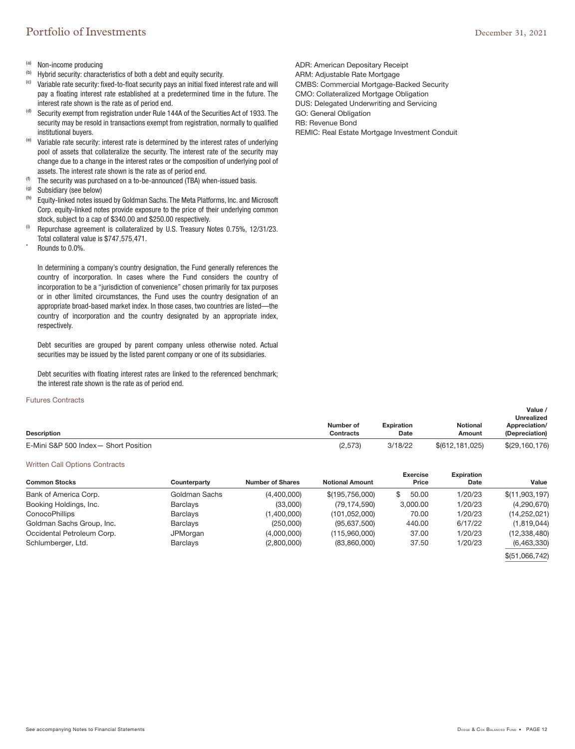# (a) Non-income producing<br>(b) Hybrid cocurity: character

- (b) Hybrid security: characteristics of both a debt and equity security.<br>(c) Variable rate security: fixed to float security pays an initial fixed in
- Variable rate security: fixed-to-float security pays an initial fixed interest rate and will pay a floating interest rate established at a predetermined time in the future. The interest rate shown is the rate as of period end.
- (d) Security exempt from registration under Rule 144A of the Securities Act of 1933. The security may be resold in transactions exempt from registration, normally to qualified institutional buyers.
- (e) Variable rate security: interest rate is determined by the interest rates of underlying pool of assets that collateralize the security. The interest rate of the security may change due to a change in the interest rates or the composition of underlying pool of assets. The interest rate shown is the rate as of period end.
- $(6)$  The security was purchased on a to-be-announced (TBA) when-issued basis.
- (g) Subsidiary (see below)
- $(h)$  Equity-linked notes issued by Goldman Sachs. The Meta Platforms, Inc. and Microsoft Corp. equity-linked notes provide exposure to the price of their underlying common stock, subject to a cap of \$340.00 and \$250.00 respectively.
- Repurchase agreement is collateralized by U.S. Treasury Notes 0.75%, 12/31/23. Total collateral value is \$747,575,471.
- Rounds to 0.0%.

In determining a company's country designation, the Fund generally references the country of incorporation. In cases where the Fund considers the country of incorporation to be a "jurisdiction of convenience" chosen primarily for tax purposes or in other limited circumstances, the Fund uses the country designation of an appropriate broad-based market index. In those cases, two countries are listed—the country of incorporation and the country designated by an appropriate index, respectively.

Debt securities are grouped by parent company unless otherwise noted. Actual securities may be issued by the listed parent company or one of its subsidiaries.

Debt securities with floating interest rates are linked to the referenced benchmark; the interest rate shown is the rate as of period end.

#### Futures Contracts

ADR: American Depositary Receipt

- ARM: Adjustable Rate Mortgage
- CMBS: Commercial Mortgage-Backed Security
- CMO: Collateralized Mortgage Obligation
- DUS: Delegated Underwriting and Servicing
- GO: General Obligation
- RB: Revenue Bond
- REMIC: Real Estate Mortgage Investment Conduit

**Description Number of Contracts Expiration Date Notional Amount Unrealized Appreciation/ (Depreciation)** E-Mini S&P 500 Index— Short Position (2,573) 3/18/22 \$(612,181,025) \$(29,160,176) Written Call Options Contracts **Exercise Expiration**

| <b>Common Stocks</b>       | Counterparty    | <b>Number of Shares</b> | <b>Notional Amount</b> | Price    | Date    | Value          |
|----------------------------|-----------------|-------------------------|------------------------|----------|---------|----------------|
| Bank of America Corp.      | Goldman Sachs   | (4,400,000)             | \$(195,756,000)        | 50.00    | 1/20/23 | \$(11,903,197) |
| Booking Holdings, Inc.     | Barclays        | (33,000)                | (79, 174, 590)         | 3.000.00 | 1/20/23 | (4,290,670)    |
| ConocoPhillips             | Barclays        | (1,400,000)             | (101, 052, 000)        | 70.00    | 1/20/23 | (14, 252, 021) |
| Goldman Sachs Group, Inc.  | Barclays        | (250,000)               | (95,637,500)           | 440.00   | 6/17/22 | (1,819,044)    |
| Occidental Petroleum Corp. | <b>JPMorgan</b> | (4,000,000)             | (115,960,000)          | 37.00    | 1/20/23 | (12, 338, 480) |
| Schlumberger, Ltd.         | Barclays        | (2,800,000)             | (83,860,000)           | 37.50    | 1/20/23 | (6,463,330)    |

**Value /**

\$(51,066,742)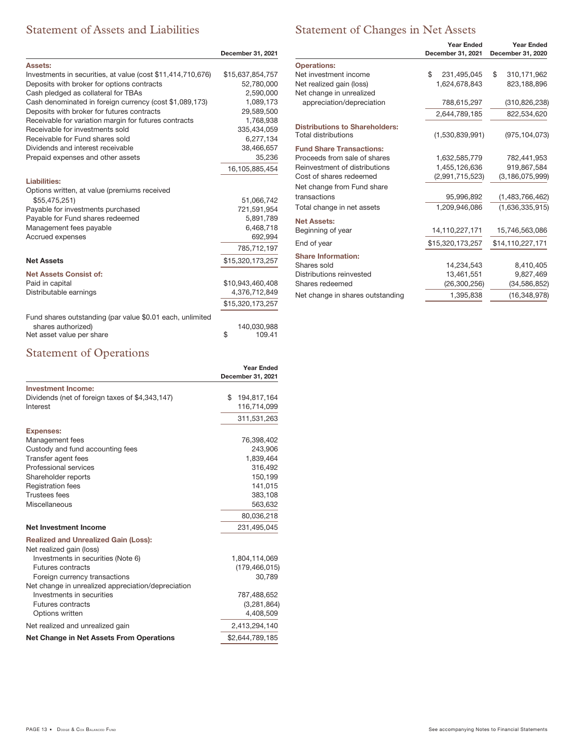# Statement of Assets and Liabilities

# Statement of Changes in Net Assets

|                                                             | December 31, 2021 |
|-------------------------------------------------------------|-------------------|
| Assets:                                                     |                   |
| Investments in securities, at value (cost \$11,414,710,676) | \$15,637,854,757  |
| Deposits with broker for options contracts                  | 52,780,000        |
| Cash pledged as collateral for TBAs                         | 2,590,000         |
| Cash denominated in foreign currency (cost \$1,089,173)     | 1.089.173         |
| Deposits with broker for futures contracts                  | 29,589,500        |
| Receivable for variation margin for futures contracts       | 1,768,938         |
| Receivable for investments sold                             | 335,434,059       |
| Receivable for Fund shares sold                             | 6,277,134         |
| Dividends and interest receivable                           | 38,466,657        |
| Prepaid expenses and other assets                           | 35,236            |
|                                                             | 16,105,885,454    |
| Liabilities:                                                |                   |
| Options written, at value (premiums received                |                   |
| \$55,475,251                                                | 51,066,742        |
| Payable for investments purchased                           | 721,591,954       |
| Payable for Fund shares redeemed                            | 5,891,789         |
| Management fees payable                                     | 6,468,718         |
| Accrued expenses                                            | 692,994           |
|                                                             | 785,712,197       |
| <b>Net Assets</b>                                           | \$15,320,173,257  |
| <b>Net Assets Consist of:</b>                               |                   |
| Paid in capital                                             | \$10,943,460,408  |
| Distributable earnings                                      | 4,376,712,849     |
|                                                             | \$15,320,173,257  |
| Fund shares outstanding (par value \$0.01 each, unlimited   |                   |
| shares authorized)                                          | 140,030,988       |
| Net asset value per share                                   | 109.41<br>\$      |
|                                                             |                   |

# Statement of Operations

|                                                    | December 31, 2021 |
|----------------------------------------------------|-------------------|
| <b>Investment Income:</b>                          |                   |
| Dividends (net of foreign taxes of \$4,343,147)    | \$<br>194,817,164 |
| Interest                                           | 116,714,099       |
|                                                    | 311,531,263       |
| <b>Expenses:</b>                                   |                   |
| Management fees                                    | 76,398,402        |
| Custody and fund accounting fees                   | 243,906           |
| Transfer agent fees                                | 1,839,464         |
| Professional services                              | 316,492           |
| Shareholder reports                                | 150,199           |
| <b>Registration fees</b>                           | 141,015           |
| <b>Trustees fees</b>                               | 383,108           |
| Miscellaneous                                      | 563,632           |
|                                                    | 80,036,218        |
| <b>Net Investment Income</b>                       | 231,495,045       |
| <b>Realized and Unrealized Gain (Loss):</b>        |                   |
| Net realized gain (loss)                           |                   |
| Investments in securities (Note 6)                 | 1,804,114,069     |
| <b>Futures contracts</b>                           | (179, 466, 015)   |
| Foreign currency transactions                      | 30.789            |
| Net change in unrealized appreciation/depreciation |                   |
| Investments in securities                          | 787,488,652       |
| Futures contracts                                  | (3, 281, 864)     |
| Options written                                    | 4,408,509         |
| Net realized and unrealized gain                   | 2.413.294.140     |
| Net Change in Net Assets From Operations           | \$2,644,789,185   |
|                                                    |                   |

**Year Ended**

|                                       | <b>Year Ended</b> | <b>Year Ended</b>  |
|---------------------------------------|-------------------|--------------------|
|                                       | December 31, 2021 | December 31, 2020  |
| <b>Operations:</b>                    |                   |                    |
| Net investment income                 | \$<br>231,495,045 | \$<br>310,171,962  |
| Net realized gain (loss)              | 1,624,678,843     | 823,188,896        |
| Net change in unrealized              |                   |                    |
| appreciation/depreciation             | 788,615,297       | (310, 826, 238)    |
|                                       | 2,644,789,185     | 822,534,620        |
| <b>Distributions to Shareholders:</b> |                   |                    |
| Total distributions                   | (1,530,839,991)   | (975, 104, 073)    |
| <b>Fund Share Transactions:</b>       |                   |                    |
| Proceeds from sale of shares          | 1,632,585,779     | 782,441,953        |
| Reinvestment of distributions         | 1,455,126,636     | 919,867,584        |
| Cost of shares redeemed               | (2,991,715,523)   | (3, 186, 075, 999) |
| Net change from Fund share            |                   |                    |
| transactions                          | 95,996,892        | (1,483,766,462)    |
| Total change in net assets            | 1,209,946,086     | (1,636,335,915)    |
| <b>Net Assets:</b>                    |                   |                    |
| Beginning of year                     | 14,110,227,171    | 15,746,563,086     |
| End of year                           | \$15,320,173,257  | \$14,110,227,171   |
| <b>Share Information:</b>             |                   |                    |
| Shares sold                           | 14,234,543        | 8,410,405          |
| Distributions reinvested              | 13,461,551        | 9,827,469          |
| Shares redeemed                       | (26, 300, 256)    | (34, 586, 852)     |
| Net change in shares outstanding      | 1,395,838         | (16, 348, 978)     |
|                                       |                   |                    |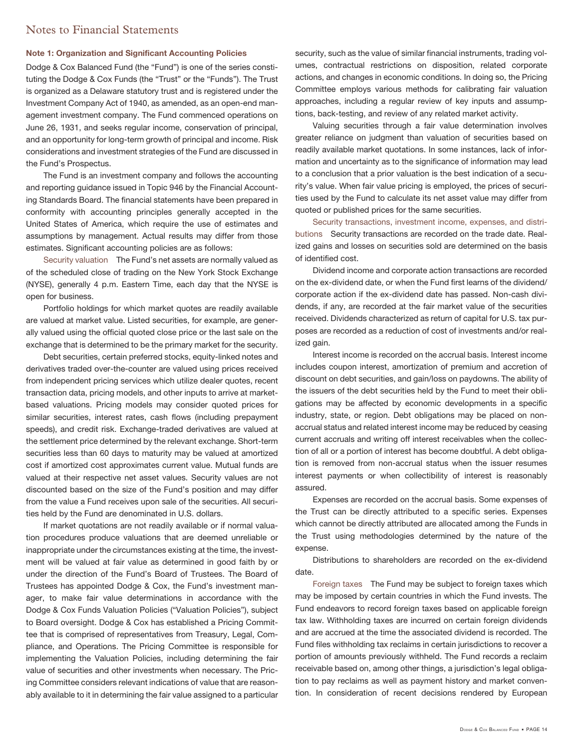### **Note 1: Organization and Significant Accounting Policies**

Dodge & Cox Balanced Fund (the "Fund") is one of the series constituting the Dodge & Cox Funds (the "Trust" or the "Funds"). The Trust is organized as a Delaware statutory trust and is registered under the Investment Company Act of 1940, as amended, as an open-end management investment company. The Fund commenced operations on June 26, 1931, and seeks regular income, conservation of principal, and an opportunity for long-term growth of principal and income. Risk considerations and investment strategies of the Fund are discussed in the Fund's Prospectus.

The Fund is an investment company and follows the accounting and reporting guidance issued in Topic 946 by the Financial Accounting Standards Board. The financial statements have been prepared in conformity with accounting principles generally accepted in the United States of America, which require the use of estimates and assumptions by management. Actual results may differ from those estimates. Significant accounting policies are as follows:

Security valuation The Fund's net assets are normally valued as of the scheduled close of trading on the New York Stock Exchange (NYSE), generally 4 p.m. Eastern Time, each day that the NYSE is open for business.

Portfolio holdings for which market quotes are readily available are valued at market value. Listed securities, for example, are generally valued using the official quoted close price or the last sale on the exchange that is determined to be the primary market for the security.

Debt securities, certain preferred stocks, equity-linked notes and derivatives traded over-the-counter are valued using prices received from independent pricing services which utilize dealer quotes, recent transaction data, pricing models, and other inputs to arrive at marketbased valuations. Pricing models may consider quoted prices for similar securities, interest rates, cash flows (including prepayment speeds), and credit risk. Exchange-traded derivatives are valued at the settlement price determined by the relevant exchange. Short-term securities less than 60 days to maturity may be valued at amortized cost if amortized cost approximates current value. Mutual funds are valued at their respective net asset values. Security values are not discounted based on the size of the Fund's position and may differ from the value a Fund receives upon sale of the securities. All securities held by the Fund are denominated in U.S. dollars.

If market quotations are not readily available or if normal valuation procedures produce valuations that are deemed unreliable or inappropriate under the circumstances existing at the time, the investment will be valued at fair value as determined in good faith by or under the direction of the Fund's Board of Trustees. The Board of Trustees has appointed Dodge & Cox, the Fund's investment manager, to make fair value determinations in accordance with the Dodge & Cox Funds Valuation Policies ("Valuation Policies"), subject to Board oversight. Dodge & Cox has established a Pricing Committee that is comprised of representatives from Treasury, Legal, Compliance, and Operations. The Pricing Committee is responsible for implementing the Valuation Policies, including determining the fair value of securities and other investments when necessary. The Pricing Committee considers relevant indications of value that are reasonably available to it in determining the fair value assigned to a particular security, such as the value of similar financial instruments, trading volumes, contractual restrictions on disposition, related corporate actions, and changes in economic conditions. In doing so, the Pricing Committee employs various methods for calibrating fair valuation approaches, including a regular review of key inputs and assumptions, back-testing, and review of any related market activity.

Valuing securities through a fair value determination involves greater reliance on judgment than valuation of securities based on readily available market quotations. In some instances, lack of information and uncertainty as to the significance of information may lead to a conclusion that a prior valuation is the best indication of a security's value. When fair value pricing is employed, the prices of securities used by the Fund to calculate its net asset value may differ from quoted or published prices for the same securities.

Security transactions, investment income, expenses, and distributions Security transactions are recorded on the trade date. Realized gains and losses on securities sold are determined on the basis of identified cost.

Dividend income and corporate action transactions are recorded on the ex-dividend date, or when the Fund first learns of the dividend/ corporate action if the ex-dividend date has passed. Non-cash dividends, if any, are recorded at the fair market value of the securities received. Dividends characterized as return of capital for U.S. tax purposes are recorded as a reduction of cost of investments and/or realized gain.

Interest income is recorded on the accrual basis. Interest income includes coupon interest, amortization of premium and accretion of discount on debt securities, and gain/loss on paydowns. The ability of the issuers of the debt securities held by the Fund to meet their obligations may be affected by economic developments in a specific industry, state, or region. Debt obligations may be placed on nonaccrual status and related interest income may be reduced by ceasing current accruals and writing off interest receivables when the collection of all or a portion of interest has become doubtful. A debt obligation is removed from non-accrual status when the issuer resumes interest payments or when collectibility of interest is reasonably assured.

Expenses are recorded on the accrual basis. Some expenses of the Trust can be directly attributed to a specific series. Expenses which cannot be directly attributed are allocated among the Funds in the Trust using methodologies determined by the nature of the expense.

Distributions to shareholders are recorded on the ex-dividend date.

Foreign taxes The Fund may be subject to foreign taxes which may be imposed by certain countries in which the Fund invests. The Fund endeavors to record foreign taxes based on applicable foreign tax law. Withholding taxes are incurred on certain foreign dividends and are accrued at the time the associated dividend is recorded. The Fund files withholding tax reclaims in certain jurisdictions to recover a portion of amounts previously withheld. The Fund records a reclaim receivable based on, among other things, a jurisdiction's legal obligation to pay reclaims as well as payment history and market convention. In consideration of recent decisions rendered by European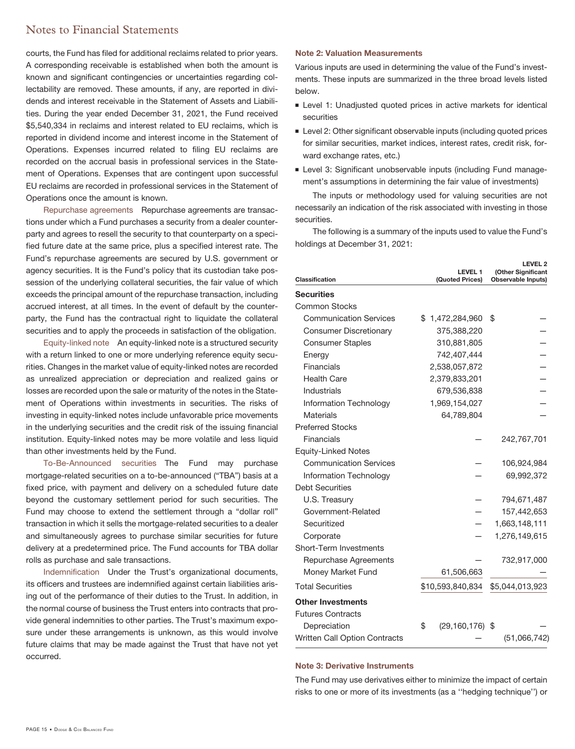courts, the Fund has filed for additional reclaims related to prior years. A corresponding receivable is established when both the amount is known and significant contingencies or uncertainties regarding collectability are removed. These amounts, if any, are reported in dividends and interest receivable in the Statement of Assets and Liabilities. During the year ended December 31, 2021, the Fund received \$5,540,334 in reclaims and interest related to EU reclaims, which is reported in dividend income and interest income in the Statement of Operations. Expenses incurred related to filing EU reclaims are recorded on the accrual basis in professional services in the Statement of Operations. Expenses that are contingent upon successful EU reclaims are recorded in professional services in the Statement of Operations once the amount is known.

Repurchase agreements Repurchase agreements are transactions under which a Fund purchases a security from a dealer counterparty and agrees to resell the security to that counterparty on a specified future date at the same price, plus a specified interest rate. The Fund's repurchase agreements are secured by U.S. government or agency securities. It is the Fund's policy that its custodian take possession of the underlying collateral securities, the fair value of which exceeds the principal amount of the repurchase transaction, including accrued interest, at all times. In the event of default by the counterparty, the Fund has the contractual right to liquidate the collateral securities and to apply the proceeds in satisfaction of the obligation.

Equity-linked note An equity-linked note is a structured security with a return linked to one or more underlying reference equity securities. Changes in the market value of equity-linked notes are recorded as unrealized appreciation or depreciation and realized gains or losses are recorded upon the sale or maturity of the notes in the Statement of Operations within investments in securities. The risks of investing in equity-linked notes include unfavorable price movements in the underlying securities and the credit risk of the issuing financial institution. Equity-linked notes may be more volatile and less liquid than other investments held by the Fund.

To-Be-Announced securities The Fund may purchase mortgage-related securities on a to-be-announced ("TBA") basis at a fixed price, with payment and delivery on a scheduled future date beyond the customary settlement period for such securities. The Fund may choose to extend the settlement through a "dollar roll" transaction in which it sells the mortgage-related securities to a dealer and simultaneously agrees to purchase similar securities for future delivery at a predetermined price. The Fund accounts for TBA dollar rolls as purchase and sale transactions.

Indemnification Under the Trust's organizational documents, its officers and trustees are indemnified against certain liabilities arising out of the performance of their duties to the Trust. In addition, in the normal course of business the Trust enters into contracts that provide general indemnities to other parties. The Trust's maximum exposure under these arrangements is unknown, as this would involve future claims that may be made against the Trust that have not yet occurred.

### **Note 2: Valuation Measurements**

Various inputs are used in determining the value of the Fund's investments. These inputs are summarized in the three broad levels listed below.

- **Earth** 1: Unadjusted quoted prices in active markets for identical securities
- **Level 2: Other significant observable inputs (including quoted prices** for similar securities, market indices, interest rates, credit risk, forward exchange rates, etc.)
- **Earth** 1: Significant unobservable inputs (including Fund management's assumptions in determining the fair value of investments)

The inputs or methodology used for valuing securities are not necessarily an indication of the risk associated with investing in those securities.

The following is a summary of the inputs used to value the Fund's holdings at December 31, 2021:

|                                      | <b>LEVEL 1</b>       | <b>LEVEL 2</b><br>(Other Significant |
|--------------------------------------|----------------------|--------------------------------------|
| Classification                       | (Quoted Prices)      | Observable Inputs)                   |
| <b>Securities</b>                    |                      |                                      |
| <b>Common Stocks</b>                 |                      |                                      |
| <b>Communication Services</b>        | \$1,472,284,960      | \$                                   |
| <b>Consumer Discretionary</b>        | 375,388,220          |                                      |
| <b>Consumer Staples</b>              | 310,881,805          |                                      |
| Energy                               | 742,407,444          |                                      |
| Financials                           | 2,538,057,872        |                                      |
| <b>Health Care</b>                   | 2,379,833,201        |                                      |
| Industrials                          | 679,536,838          |                                      |
| Information Technology               | 1,969,154,027        |                                      |
| <b>Materials</b>                     | 64,789,804           |                                      |
| <b>Preferred Stocks</b>              |                      |                                      |
| Financials                           |                      | 242,767,701                          |
| <b>Equity-Linked Notes</b>           |                      |                                      |
| <b>Communication Services</b>        |                      | 106,924,984                          |
| Information Technology               |                      | 69,992,372                           |
| <b>Debt Securities</b>               |                      |                                      |
| U.S. Treasury                        |                      | 794,671,487                          |
| Government-Related                   |                      | 157,442,653                          |
| Securitized                          |                      | 1,663,148,111                        |
| Corporate                            |                      | 1,276,149,615                        |
| Short-Term Investments               |                      |                                      |
| Repurchase Agreements                |                      | 732,917,000                          |
| Money Market Fund                    | 61,506,663           |                                      |
| <b>Total Securities</b>              | \$10,593,840,834     | \$5,044,013,923                      |
| <b>Other Investments</b>             |                      |                                      |
| <b>Futures Contracts</b>             |                      |                                      |
| Depreciation                         | \$<br>(29, 160, 176) | \$                                   |
| <b>Written Call Option Contracts</b> |                      | (51,066,742)                         |

### **Note 3: Derivative Instruments**

The Fund may use derivatives either to minimize the impact of certain risks to one or more of its investments (as a ''hedging technique'') or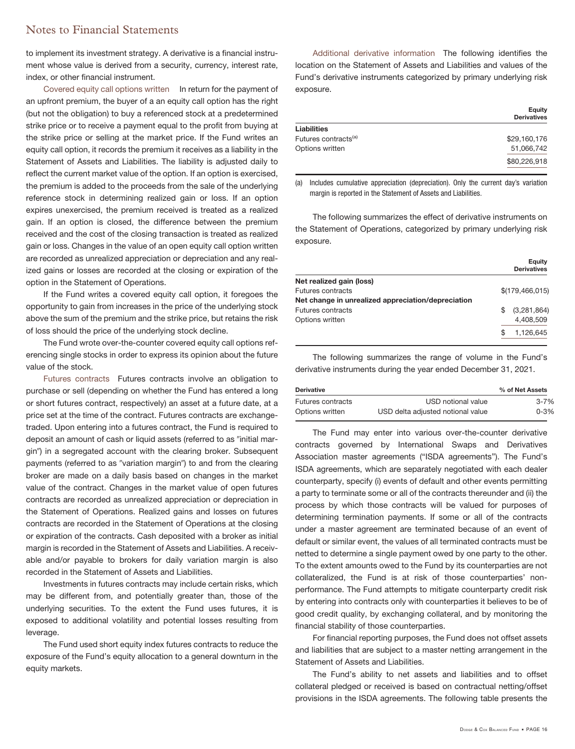to implement its investment strategy. A derivative is a financial instrument whose value is derived from a security, currency, interest rate, index, or other financial instrument.

Covered equity call options written In return for the payment of an upfront premium, the buyer of a an equity call option has the right (but not the obligation) to buy a referenced stock at a predetermined strike price or to receive a payment equal to the profit from buying at the strike price or selling at the market price. If the Fund writes an equity call option, it records the premium it receives as a liability in the Statement of Assets and Liabilities. The liability is adjusted daily to reflect the current market value of the option. If an option is exercised, the premium is added to the proceeds from the sale of the underlying reference stock in determining realized gain or loss. If an option expires unexercised, the premium received is treated as a realized gain. If an option is closed, the difference between the premium received and the cost of the closing transaction is treated as realized gain or loss. Changes in the value of an open equity call option written are recorded as unrealized appreciation or depreciation and any realized gains or losses are recorded at the closing or expiration of the option in the Statement of Operations.

If the Fund writes a covered equity call option, it foregoes the opportunity to gain from increases in the price of the underlying stock above the sum of the premium and the strike price, but retains the risk of loss should the price of the underlying stock decline.

The Fund wrote over-the-counter covered equity call options referencing single stocks in order to express its opinion about the future value of the stock.

Futures contracts Futures contracts involve an obligation to purchase or sell (depending on whether the Fund has entered a long or short futures contract, respectively) an asset at a future date, at a price set at the time of the contract. Futures contracts are exchangetraded. Upon entering into a futures contract, the Fund is required to deposit an amount of cash or liquid assets (referred to as "initial margin") in a segregated account with the clearing broker. Subsequent payments (referred to as "variation margin") to and from the clearing broker are made on a daily basis based on changes in the market value of the contract. Changes in the market value of open futures contracts are recorded as unrealized appreciation or depreciation in the Statement of Operations. Realized gains and losses on futures contracts are recorded in the Statement of Operations at the closing or expiration of the contracts. Cash deposited with a broker as initial margin is recorded in the Statement of Assets and Liabilities. A receivable and/or payable to brokers for daily variation margin is also recorded in the Statement of Assets and Liabilities.

Investments in futures contracts may include certain risks, which may be different from, and potentially greater than, those of the underlying securities. To the extent the Fund uses futures, it is exposed to additional volatility and potential losses resulting from leverage.

The Fund used short equity index futures contracts to reduce the exposure of the Fund's equity allocation to a general downturn in the equity markets.

Additional derivative information The following identifies the location on the Statement of Assets and Liabilities and values of the Fund's derivative instruments categorized by primary underlying risk exposure.

|                                  | Equity<br><b>Derivatives</b> |
|----------------------------------|------------------------------|
| Liabilities                      |                              |
| Futures contracts <sup>(a)</sup> | \$29,160,176                 |
| Options written                  | 51,066,742                   |
|                                  | \$80,226,918                 |

(a) Includes cumulative appreciation (depreciation). Only the current day's variation margin is reported in the Statement of Assets and Liabilities.

The following summarizes the effect of derivative instruments on the Statement of Operations, categorized by primary underlying risk exposure.

|                                                    | Equity<br><b>Derivatives</b> |
|----------------------------------------------------|------------------------------|
| Net realized gain (loss)                           |                              |
| <b>Futures contracts</b>                           | \$(179, 466, 015)            |
| Net change in unrealized appreciation/depreciation |                              |
| <b>Futures contracts</b>                           | \$<br>(3, 281, 864)          |
| Options written                                    | 4.408.509                    |
|                                                    | 1.126.645                    |

The following summarizes the range of volume in the Fund's derivative instruments during the year ended December 31, 2021.

| <b>Derivative</b>        |                                   | % of Net Assets |
|--------------------------|-----------------------------------|-----------------|
| <b>Futures contracts</b> | USD notional value                | $3 - 7%$        |
| Options written          | USD delta adjusted notional value | $0 - 3%$        |

The Fund may enter into various over-the-counter derivative contracts governed by International Swaps and Derivatives Association master agreements ("ISDA agreements"). The Fund's ISDA agreements, which are separately negotiated with each dealer counterparty, specify (i) events of default and other events permitting a party to terminate some or all of the contracts thereunder and (ii) the process by which those contracts will be valued for purposes of determining termination payments. If some or all of the contracts under a master agreement are terminated because of an event of default or similar event, the values of all terminated contracts must be netted to determine a single payment owed by one party to the other. To the extent amounts owed to the Fund by its counterparties are not collateralized, the Fund is at risk of those counterparties' nonperformance. The Fund attempts to mitigate counterparty credit risk by entering into contracts only with counterparties it believes to be of good credit quality, by exchanging collateral, and by monitoring the financial stability of those counterparties.

For financial reporting purposes, the Fund does not offset assets and liabilities that are subject to a master netting arrangement in the Statement of Assets and Liabilities.

The Fund's ability to net assets and liabilities and to offset collateral pledged or received is based on contractual netting/offset provisions in the ISDA agreements. The following table presents the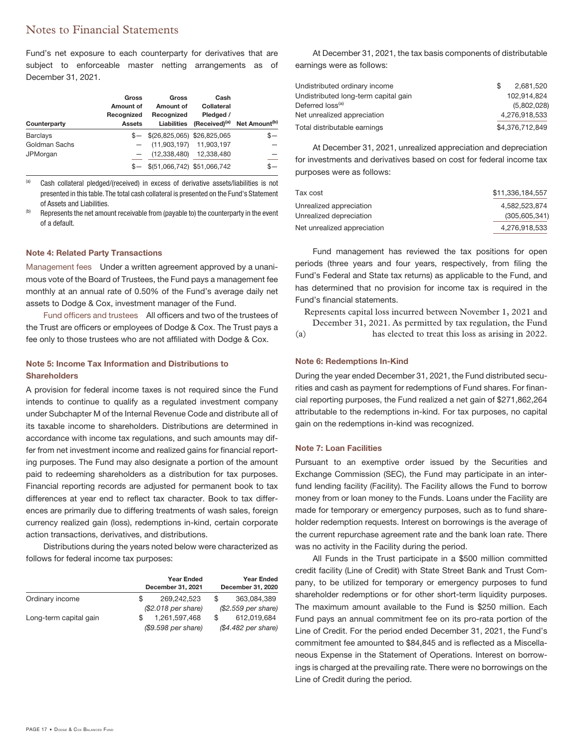Fund's net exposure to each counterparty for derivatives that are subject to enforceable master netting arrangements as of December 31, 2021.

| Counterparty    | Gross<br>Amount of<br>Recognized<br>Assets | Gross<br>Amount of<br>Recognized<br>Liabilities | Cash<br>Collateral<br>Pledged /<br>(Received) <sup>(a)</sup> | Net Amount <sup>(b)</sup> |
|-----------------|--------------------------------------------|-------------------------------------------------|--------------------------------------------------------------|---------------------------|
| <b>Barclays</b> |                                            | $$ -$ \$(26,825,065) \$26,825,065               |                                                              | \$—                       |
| Goldman Sachs   |                                            |                                                 | (11,903,197) 11,903,197                                      |                           |
| JPMorgan        |                                            | (12, 338, 480)                                  | 12,338,480                                                   |                           |
|                 |                                            | \$(51,066,742) \$51,066,742                     |                                                              | \$—                       |

 $(a)$  Cash collateral pledged/(received) in excess of derivative assets/liabilities is not presented in this table.The total cash collateral is presented on the Fund's Statement of Assets and Liabilities.

(b) Represents the net amount receivable from (payable to) the counterparty in the event of a default.

### **Note 4: Related Party Transactions**

Management fees Under a written agreement approved by a unanimous vote of the Board of Trustees, the Fund pays a management fee monthly at an annual rate of 0.50% of the Fund's average daily net assets to Dodge & Cox, investment manager of the Fund.

Fund officers and trustees All officers and two of the trustees of the Trust are officers or employees of Dodge & Cox. The Trust pays a fee only to those trustees who are not affiliated with Dodge & Cox.

### **Note 5: Income Tax Information and Distributions to Shareholders**

A provision for federal income taxes is not required since the Fund intends to continue to qualify as a regulated investment company under Subchapter M of the Internal Revenue Code and distribute all of its taxable income to shareholders. Distributions are determined in accordance with income tax regulations, and such amounts may differ from net investment income and realized gains for financial reporting purposes. The Fund may also designate a portion of the amount paid to redeeming shareholders as a distribution for tax purposes. Financial reporting records are adjusted for permanent book to tax differences at year end to reflect tax character. Book to tax differences are primarily due to differing treatments of wash sales, foreign currency realized gain (loss), redemptions in-kind, certain corporate action transactions, derivatives, and distributions.

Distributions during the years noted below were characterized as follows for federal income tax purposes:

|                        | <b>Year Ended</b><br>December 31, 2021 |   | <b>Year Ended</b><br>December 31, 2020 |
|------------------------|----------------------------------------|---|----------------------------------------|
| Ordinary income        | 269.242.523                            | S | 363.084.389                            |
|                        | $$2.018$ per share)                    |   | $(\$2.559$ per share)                  |
| Long-term capital gain | 1.261.597.468                          |   | 612.019.684                            |
|                        | (\$9.598 per share)                    |   | $($4.482$ per share)                   |

At December 31, 2021, the tax basis components of distributable earnings were as follows:

| Undistributed ordinary income        | £. | 2.681.520       |
|--------------------------------------|----|-----------------|
| Undistributed long-term capital gain |    | 102.914.824     |
| Deferred loss <sup>(a)</sup>         |    | (5,802,028)     |
| Net unrealized appreciation          |    | 4.276.918.533   |
| Total distributable earnings         |    | \$4,376,712,849 |

At December 31, 2021, unrealized appreciation and depreciation for investments and derivatives based on cost for federal income tax purposes were as follows:

| \$11,336,184,557 |
|------------------|
| 4.582.523.874    |
| (305, 605, 341)  |
| 4,276,918,533    |
|                  |

Fund management has reviewed the tax positions for open periods (three years and four years, respectively, from filing the Fund's Federal and State tax returns) as applicable to the Fund, and has determined that no provision for income tax is required in the Fund's financial statements.

Represents capital loss incurred between November 1, 2021 and December 31, 2021. As permitted by tax regulation, the Fund

has elected to treat this loss as arising in 2022.

(a)

### **Note 6: Redemptions In-Kind**

During the year ended December 31, 2021, the Fund distributed securities and cash as payment for redemptions of Fund shares. For financial reporting purposes, the Fund realized a net gain of \$271,862,264 attributable to the redemptions in-kind. For tax purposes, no capital gain on the redemptions in-kind was recognized.

### **Note 7: Loan Facilities**

Pursuant to an exemptive order issued by the Securities and Exchange Commission (SEC), the Fund may participate in an interfund lending facility (Facility). The Facility allows the Fund to borrow money from or loan money to the Funds. Loans under the Facility are made for temporary or emergency purposes, such as to fund shareholder redemption requests. Interest on borrowings is the average of the current repurchase agreement rate and the bank loan rate. There was no activity in the Facility during the period.

All Funds in the Trust participate in a \$500 million committed credit facility (Line of Credit) with State Street Bank and Trust Company, to be utilized for temporary or emergency purposes to fund shareholder redemptions or for other short-term liquidity purposes. The maximum amount available to the Fund is \$250 million. Each Fund pays an annual commitment fee on its pro-rata portion of the Line of Credit. For the period ended December 31, 2021, the Fund's commitment fee amounted to \$84,845 and is reflected as a Miscellaneous Expense in the Statement of Operations. Interest on borrowings is charged at the prevailing rate. There were no borrowings on the Line of Credit during the period.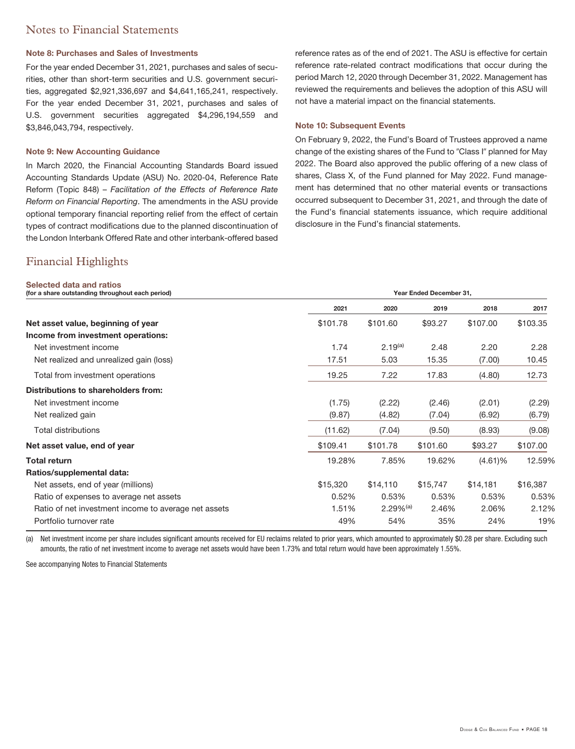### **Note 8: Purchases and Sales of Investments**

For the year ended December 31, 2021, purchases and sales of securities, other than short-term securities and U.S. government securities, aggregated \$2,921,336,697 and \$4,641,165,241, respectively. For the year ended December 31, 2021, purchases and sales of U.S. government securities aggregated \$4,296,194,559 and \$3,846,043,794, respectively.

### **Note 9: New Accounting Guidance**

In March 2020, the Financial Accounting Standards Board issued Accounting Standards Update (ASU) No. 2020-04, Reference Rate Reform (Topic 848) – Facilitation of the Effects of Reference Rate Reform on Financial Reporting. The amendments in the ASU provide optional temporary financial reporting relief from the effect of certain types of contract modifications due to the planned discontinuation of the London Interbank Offered Rate and other interbank-offered based

### reference rates as of the end of 2021. The ASU is effective for certain reference rate-related contract modifications that occur during the period March 12, 2020 through December 31, 2022. Management has reviewed the requirements and believes the adoption of this ASU will not have a material impact on the financial statements.

### **Note 10: Subsequent Events**

On February 9, 2022, the Fund's Board of Trustees approved a name change of the existing shares of the Fund to "Class I" planned for May 2022. The Board also approved the public offering of a new class of shares, Class X, of the Fund planned for May 2022. Fund management has determined that no other material events or transactions occurred subsequent to December 31, 2021, and through the date of the Fund's financial statements issuance, which require additional disclosure in the Fund's financial statements.

# Financial Highlights

| Selected data and ratios<br>(for a share outstanding throughout each period) | Year Ended December 31, |                         |          |          |          |
|------------------------------------------------------------------------------|-------------------------|-------------------------|----------|----------|----------|
|                                                                              | 2021                    | 2020                    | 2019     | 2018     | 2017     |
| Net asset value, beginning of year                                           | \$101.78                | \$101.60                | \$93.27  | \$107.00 | \$103.35 |
| Income from investment operations:                                           |                         |                         |          |          |          |
| Net investment income                                                        | 1.74                    | 2.19 <sup>(a)</sup>     | 2.48     | 2.20     | 2.28     |
| Net realized and unrealized gain (loss)                                      | 17.51                   | 5.03                    | 15.35    | (7.00)   | 10.45    |
| Total from investment operations                                             | 19.25                   | 7.22                    | 17.83    | (4.80)   | 12.73    |
| Distributions to shareholders from:                                          |                         |                         |          |          |          |
| Net investment income                                                        | (1.75)                  | (2.22)                  | (2.46)   | (2.01)   | (2.29)   |
| Net realized gain                                                            | (9.87)                  | (4.82)                  | (7.04)   | (6.92)   | (6.79)   |
| <b>Total distributions</b>                                                   | (11.62)                 | (7.04)                  | (9.50)   | (8.93)   | (9.08)   |
| Net asset value, end of year                                                 | \$109.41                | \$101.78                | \$101.60 | \$93.27  | \$107.00 |
| Total return                                                                 | 19.28%                  | 7.85%                   | 19.62%   | (4.61)%  | 12.59%   |
| Ratios/supplemental data:                                                    |                         |                         |          |          |          |
| Net assets, end of year (millions)                                           | \$15,320                | \$14,110                | \$15,747 | \$14,181 | \$16,387 |
| Ratio of expenses to average net assets                                      | 0.52%                   | 0.53%                   | 0.53%    | 0.53%    | 0.53%    |
| Ratio of net investment income to average net assets                         | 1.51%                   | $2.29\%$ <sup>(a)</sup> | 2.46%    | 2.06%    | 2.12%    |
| Portfolio turnover rate                                                      | 49%                     | 54%                     | 35%      | 24%      | 19%      |

(a) Net investment income per share includes significant amounts received for EU reclaims related to prior years, which amounted to approximately \$0.28 per share. Excluding such amounts, the ratio of net investment income to average net assets would have been 1.73% and total return would have been approximately 1.55%.

See accompanying Notes to Financial Statements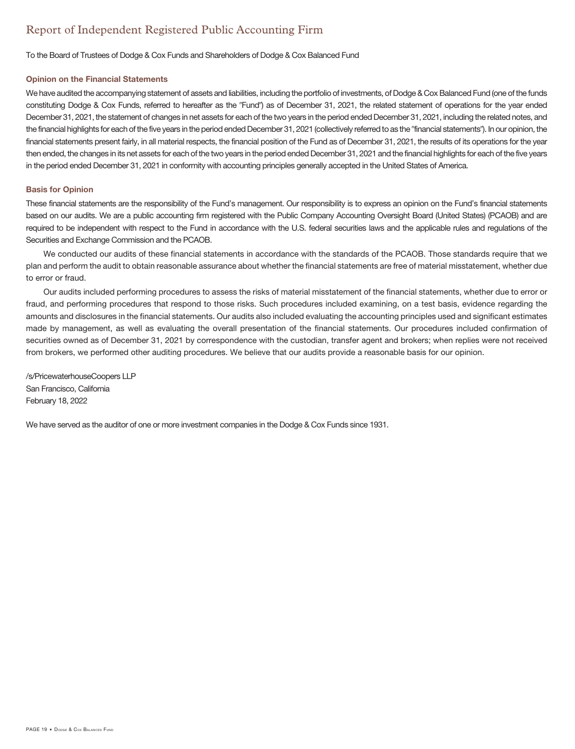# Report of Independent Registered Public Accounting Firm

To the Board of Trustees of Dodge & Cox Funds and Shareholders of Dodge & Cox Balanced Fund

### **Opinion on the Financial Statements**

We have audited the accompanying statement of assets and liabilities, including the portfolio of investments, of Dodge & Cox Balanced Fund (one of the funds constituting Dodge & Cox Funds, referred to hereafter as the "Fund") as of December 31, 2021, the related statement of operations for the year ended December 31, 2021, the statement of changes in net assets for each of the two years in the period ended December 31, 2021, including the related notes, and the financial highlights for each of the five years in the period ended December 31, 2021 (collectively referred to as the "financial statements"). In our opinion, the financial statements present fairly, in all material respects, the financial position of the Fund as of December 31, 2021, the results of its operations for the year then ended, the changes in its net assets for each of the two years in the period ended December 31, 2021 and the financial highlights for each of the five years in the period ended December 31, 2021 in conformity with accounting principles generally accepted in the United States of America.

### **Basis for Opinion**

These financial statements are the responsibility of the Fund's management. Our responsibility is to express an opinion on the Fund's financial statements based on our audits. We are a public accounting firm registered with the Public Company Accounting Oversight Board (United States) (PCAOB) and are required to be independent with respect to the Fund in accordance with the U.S. federal securities laws and the applicable rules and regulations of the Securities and Exchange Commission and the PCAOB.

We conducted our audits of these financial statements in accordance with the standards of the PCAOB. Those standards require that we plan and perform the audit to obtain reasonable assurance about whether the financial statements are free of material misstatement, whether due to error or fraud.

Our audits included performing procedures to assess the risks of material misstatement of the financial statements, whether due to error or fraud, and performing procedures that respond to those risks. Such procedures included examining, on a test basis, evidence regarding the amounts and disclosures in the financial statements. Our audits also included evaluating the accounting principles used and significant estimates made by management, as well as evaluating the overall presentation of the financial statements. Our procedures included confirmation of securities owned as of December 31, 2021 by correspondence with the custodian, transfer agent and brokers; when replies were not received from brokers, we performed other auditing procedures. We believe that our audits provide a reasonable basis for our opinion.

/s/PricewaterhouseCoopers LLP San Francisco, California February 18, 2022

We have served as the auditor of one or more investment companies in the Dodge & Cox Funds since 1931.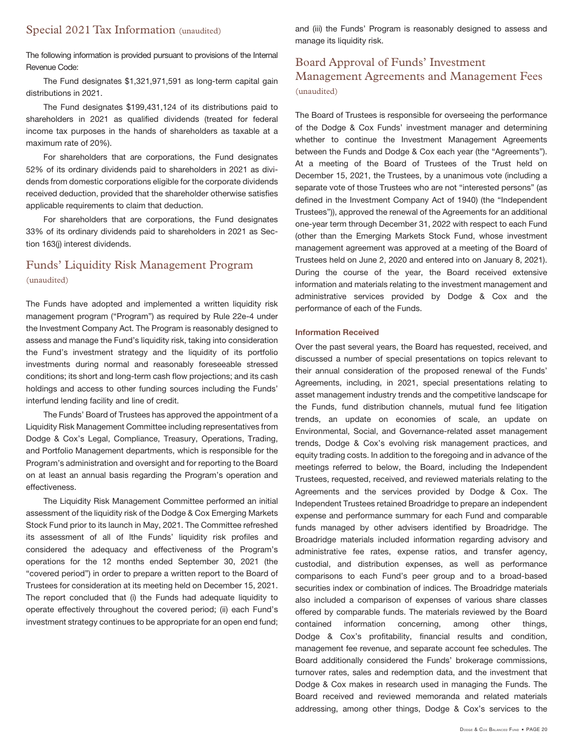### Special 2021 Tax Information (unaudited)

The following information is provided pursuant to provisions of the Internal Revenue Code:

The Fund designates \$1,321,971,591 as long-term capital gain distributions in 2021.

The Fund designates \$199,431,124 of its distributions paid to shareholders in 2021 as qualified dividends (treated for federal income tax purposes in the hands of shareholders as taxable at a maximum rate of 20%).

For shareholders that are corporations, the Fund designates 52% of its ordinary dividends paid to shareholders in 2021 as dividends from domestic corporations eligible for the corporate dividends received deduction, provided that the shareholder otherwise satisfies applicable requirements to claim that deduction.

For shareholders that are corporations, the Fund designates 33% of its ordinary dividends paid to shareholders in 2021 as Section 163(j) interest dividends.

# Funds' Liquidity Risk Management Program (unaudited)

The Funds have adopted and implemented a written liquidity risk management program ("Program") as required by Rule 22e-4 under the Investment Company Act. The Program is reasonably designed to assess and manage the Fund's liquidity risk, taking into consideration the Fund's investment strategy and the liquidity of its portfolio investments during normal and reasonably foreseeable stressed conditions; its short and long-term cash flow projections; and its cash holdings and access to other funding sources including the Funds' interfund lending facility and line of credit.

The Funds' Board of Trustees has approved the appointment of a Liquidity Risk Management Committee including representatives from Dodge & Cox's Legal, Compliance, Treasury, Operations, Trading, and Portfolio Management departments, which is responsible for the Program's administration and oversight and for reporting to the Board on at least an annual basis regarding the Program's operation and effectiveness.

The Liquidity Risk Management Committee performed an initial assessment of the liquidity risk of the Dodge & Cox Emerging Markets Stock Fund prior to its launch in May, 2021. The Committee refreshed its assessment of all of lthe Funds' liquidity risk profiles and considered the adequacy and effectiveness of the Program's operations for the 12 months ended September 30, 2021 (the "covered period") in order to prepare a written report to the Board of Trustees for consideration at its meeting held on December 15, 2021. The report concluded that (i) the Funds had adequate liquidity to operate effectively throughout the covered period; (ii) each Fund's investment strategy continues to be appropriate for an open end fund;

and (iii) the Funds' Program is reasonably designed to assess and manage its liquidity risk.

# Board Approval of Funds' Investment Management Agreements and Management Fees (unaudited)

The Board of Trustees is responsible for overseeing the performance of the Dodge & Cox Funds' investment manager and determining whether to continue the Investment Management Agreements between the Funds and Dodge & Cox each year (the "Agreements"). At a meeting of the Board of Trustees of the Trust held on December 15, 2021, the Trustees, by a unanimous vote (including a separate vote of those Trustees who are not "interested persons" (as defined in the Investment Company Act of 1940) (the "Independent Trustees")), approved the renewal of the Agreements for an additional one-year term through December 31, 2022 with respect to each Fund (other than the Emerging Markets Stock Fund, whose investment management agreement was approved at a meeting of the Board of Trustees held on June 2, 2020 and entered into on January 8, 2021). During the course of the year, the Board received extensive information and materials relating to the investment management and administrative services provided by Dodge & Cox and the performance of each of the Funds.

### **Information Received**

Over the past several years, the Board has requested, received, and discussed a number of special presentations on topics relevant to their annual consideration of the proposed renewal of the Funds' Agreements, including, in 2021, special presentations relating to asset management industry trends and the competitive landscape for the Funds, fund distribution channels, mutual fund fee litigation trends, an update on economies of scale, an update on Environmental, Social, and Governance-related asset management trends, Dodge & Cox's evolving risk management practices, and equity trading costs. In addition to the foregoing and in advance of the meetings referred to below, the Board, including the Independent Trustees, requested, received, and reviewed materials relating to the Agreements and the services provided by Dodge & Cox. The Independent Trustees retained Broadridge to prepare an independent expense and performance summary for each Fund and comparable funds managed by other advisers identified by Broadridge. The Broadridge materials included information regarding advisory and administrative fee rates, expense ratios, and transfer agency, custodial, and distribution expenses, as well as performance comparisons to each Fund's peer group and to a broad-based securities index or combination of indices. The Broadridge materials also included a comparison of expenses of various share classes offered by comparable funds. The materials reviewed by the Board contained information concerning, among other things, Dodge & Cox's profitability, financial results and condition, management fee revenue, and separate account fee schedules. The Board additionally considered the Funds' brokerage commissions, turnover rates, sales and redemption data, and the investment that Dodge & Cox makes in research used in managing the Funds. The Board received and reviewed memoranda and related materials addressing, among other things, Dodge & Cox's services to the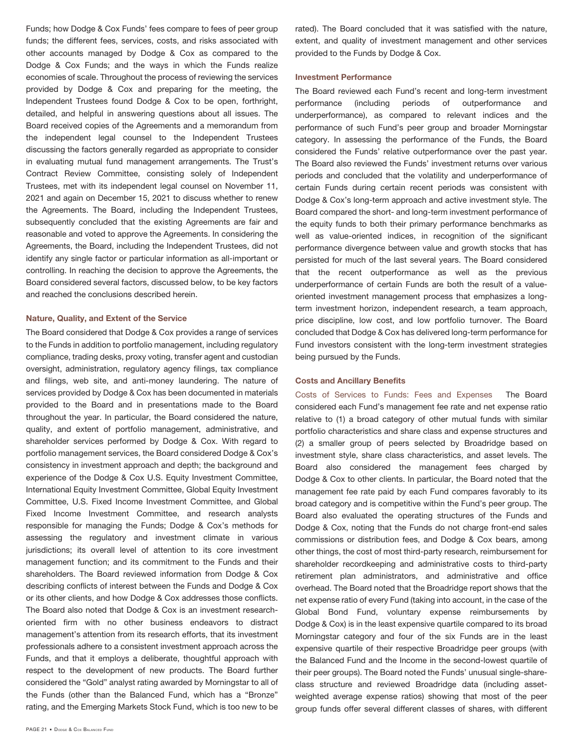Funds; how Dodge & Cox Funds' fees compare to fees of peer group funds; the different fees, services, costs, and risks associated with other accounts managed by Dodge & Cox as compared to the Dodge & Cox Funds; and the ways in which the Funds realize economies of scale. Throughout the process of reviewing the services provided by Dodge & Cox and preparing for the meeting, the Independent Trustees found Dodge & Cox to be open, forthright, detailed, and helpful in answering questions about all issues. The Board received copies of the Agreements and a memorandum from the independent legal counsel to the Independent Trustees discussing the factors generally regarded as appropriate to consider in evaluating mutual fund management arrangements. The Trust's Contract Review Committee, consisting solely of Independent Trustees, met with its independent legal counsel on November 11, 2021 and again on December 15, 2021 to discuss whether to renew the Agreements. The Board, including the Independent Trustees, subsequently concluded that the existing Agreements are fair and reasonable and voted to approve the Agreements. In considering the Agreements, the Board, including the Independent Trustees, did not identify any single factor or particular information as all-important or controlling. In reaching the decision to approve the Agreements, the Board considered several factors, discussed below, to be key factors and reached the conclusions described herein.

### **Nature, Quality, and Extent of the Service**

The Board considered that Dodge & Cox provides a range of services to the Funds in addition to portfolio management, including regulatory compliance, trading desks, proxy voting, transfer agent and custodian oversight, administration, regulatory agency filings, tax compliance and filings, web site, and anti-money laundering. The nature of services provided by Dodge & Cox has been documented in materials provided to the Board and in presentations made to the Board throughout the year. In particular, the Board considered the nature, quality, and extent of portfolio management, administrative, and shareholder services performed by Dodge & Cox. With regard to portfolio management services, the Board considered Dodge & Cox's consistency in investment approach and depth; the background and experience of the Dodge & Cox U.S. Equity Investment Committee, International Equity Investment Committee, Global Equity Investment Committee, U.S. Fixed Income Investment Committee, and Global Fixed Income Investment Committee, and research analysts responsible for managing the Funds; Dodge & Cox's methods for assessing the regulatory and investment climate in various jurisdictions; its overall level of attention to its core investment management function; and its commitment to the Funds and their shareholders. The Board reviewed information from Dodge & Cox describing conflicts of interest between the Funds and Dodge & Cox or its other clients, and how Dodge & Cox addresses those conflicts. The Board also noted that Dodge & Cox is an investment researchoriented firm with no other business endeavors to distract management's attention from its research efforts, that its investment professionals adhere to a consistent investment approach across the Funds, and that it employs a deliberate, thoughtful approach with respect to the development of new products. The Board further considered the "Gold" analyst rating awarded by Morningstar to all of the Funds (other than the Balanced Fund, which has a "Bronze" rating, and the Emerging Markets Stock Fund, which is too new to be

#### **Investment Performance**

The Board reviewed each Fund's recent and long-term investment performance (including periods of outperformance and underperformance), as compared to relevant indices and the performance of such Fund's peer group and broader Morningstar category. In assessing the performance of the Funds, the Board considered the Funds' relative outperformance over the past year. The Board also reviewed the Funds' investment returns over various periods and concluded that the volatility and underperformance of certain Funds during certain recent periods was consistent with Dodge & Cox's long-term approach and active investment style. The Board compared the short- and long-term investment performance of the equity funds to both their primary performance benchmarks as well as value-oriented indices, in recognition of the significant performance divergence between value and growth stocks that has persisted for much of the last several years. The Board considered that the recent outperformance as well as the previous underperformance of certain Funds are both the result of a valueoriented investment management process that emphasizes a longterm investment horizon, independent research, a team approach, price discipline, low cost, and low portfolio turnover. The Board concluded that Dodge & Cox has delivered long-term performance for Fund investors consistent with the long-term investment strategies being pursued by the Funds.

### **Costs and Ancillary Benefits**

Costs of Services to Funds: Fees and Expenses The Board considered each Fund's management fee rate and net expense ratio relative to (1) a broad category of other mutual funds with similar portfolio characteristics and share class and expense structures and (2) a smaller group of peers selected by Broadridge based on investment style, share class characteristics, and asset levels. The Board also considered the management fees charged by Dodge & Cox to other clients. In particular, the Board noted that the management fee rate paid by each Fund compares favorably to its broad category and is competitive within the Fund's peer group. The Board also evaluated the operating structures of the Funds and Dodge & Cox, noting that the Funds do not charge front-end sales commissions or distribution fees, and Dodge & Cox bears, among other things, the cost of most third-party research, reimbursement for shareholder recordkeeping and administrative costs to third-party retirement plan administrators, and administrative and office overhead. The Board noted that the Broadridge report shows that the net expense ratio of every Fund (taking into account, in the case of the Global Bond Fund, voluntary expense reimbursements by Dodge & Cox) is in the least expensive quartile compared to its broad Morningstar category and four of the six Funds are in the least expensive quartile of their respective Broadridge peer groups (with the Balanced Fund and the Income in the second-lowest quartile of their peer groups). The Board noted the Funds' unusual single-shareclass structure and reviewed Broadridge data (including assetweighted average expense ratios) showing that most of the peer group funds offer several different classes of shares, with different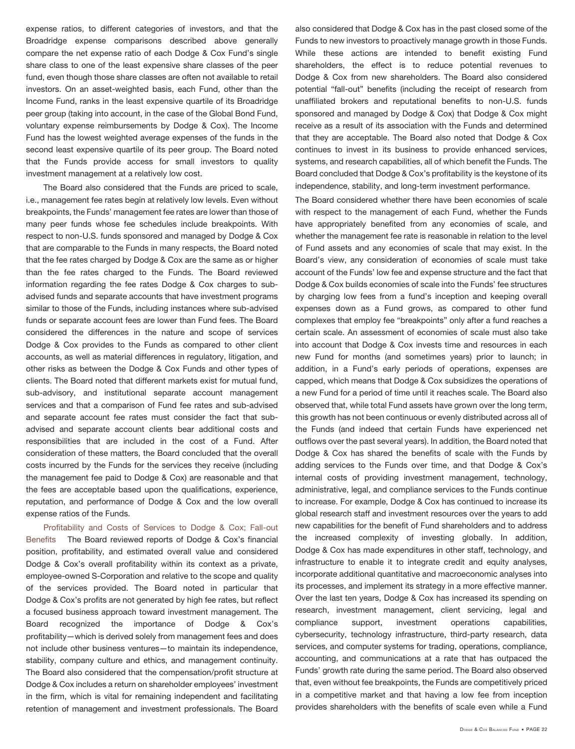expense ratios, to different categories of investors, and that the Broadridge expense comparisons described above generally compare the net expense ratio of each Dodge & Cox Fund's single share class to one of the least expensive share classes of the peer fund, even though those share classes are often not available to retail investors. On an asset-weighted basis, each Fund, other than the Income Fund, ranks in the least expensive quartile of its Broadridge peer group (taking into account, in the case of the Global Bond Fund, voluntary expense reimbursements by Dodge & Cox). The Income Fund has the lowest weighted average expenses of the funds in the second least expensive quartile of its peer group. The Board noted that the Funds provide access for small investors to quality investment management at a relatively low cost.

The Board also considered that the Funds are priced to scale, i.e., management fee rates begin at relatively low levels. Even without breakpoints, the Funds' management fee rates are lower than those of many peer funds whose fee schedules include breakpoints. With respect to non-U.S. funds sponsored and managed by Dodge & Cox that are comparable to the Funds in many respects, the Board noted that the fee rates charged by Dodge & Cox are the same as or higher than the fee rates charged to the Funds. The Board reviewed information regarding the fee rates Dodge & Cox charges to subadvised funds and separate accounts that have investment programs similar to those of the Funds, including instances where sub-advised funds or separate account fees are lower than Fund fees. The Board considered the differences in the nature and scope of services Dodge & Cox provides to the Funds as compared to other client accounts, as well as material differences in regulatory, litigation, and other risks as between the Dodge & Cox Funds and other types of clients. The Board noted that different markets exist for mutual fund, sub-advisory, and institutional separate account management services and that a comparison of Fund fee rates and sub-advised and separate account fee rates must consider the fact that subadvised and separate account clients bear additional costs and responsibilities that are included in the cost of a Fund. After consideration of these matters, the Board concluded that the overall costs incurred by the Funds for the services they receive (including the management fee paid to Dodge & Cox) are reasonable and that the fees are acceptable based upon the qualifications, experience, reputation, and performance of Dodge & Cox and the low overall expense ratios of the Funds.

Profitability and Costs of Services to Dodge & Cox; Fall-out Benefits The Board reviewed reports of Dodge & Cox's financial position, profitability, and estimated overall value and considered Dodge & Cox's overall profitability within its context as a private, employee-owned S-Corporation and relative to the scope and quality of the services provided. The Board noted in particular that Dodge & Cox's profits are not generated by high fee rates, but reflect a focused business approach toward investment management. The Board recognized the importance of Dodge & Cox's profitability—which is derived solely from management fees and does not include other business ventures—to maintain its independence, stability, company culture and ethics, and management continuity. The Board also considered that the compensation/profit structure at Dodge & Cox includes a return on shareholder employees' investment in the firm, which is vital for remaining independent and facilitating retention of management and investment professionals. The Board also considered that Dodge & Cox has in the past closed some of the Funds to new investors to proactively manage growth in those Funds. While these actions are intended to benefit existing Fund shareholders, the effect is to reduce potential revenues to Dodge & Cox from new shareholders. The Board also considered potential "fall-out" benefits (including the receipt of research from unaffiliated brokers and reputational benefits to non-U.S. funds sponsored and managed by Dodge & Cox) that Dodge & Cox might receive as a result of its association with the Funds and determined that they are acceptable. The Board also noted that Dodge & Cox continues to invest in its business to provide enhanced services, systems, and research capabilities, all of which benefit the Funds. The Board concluded that Dodge & Cox's profitability is the keystone of its independence, stability, and long-term investment performance.

The Board considered whether there have been economies of scale with respect to the management of each Fund, whether the Funds have appropriately benefited from any economies of scale, and whether the management fee rate is reasonable in relation to the level of Fund assets and any economies of scale that may exist. In the Board's view, any consideration of economies of scale must take account of the Funds' low fee and expense structure and the fact that Dodge & Cox builds economies of scale into the Funds' fee structures by charging low fees from a fund's inception and keeping overall expenses down as a Fund grows, as compared to other fund complexes that employ fee "breakpoints" only after a fund reaches a certain scale. An assessment of economies of scale must also take into account that Dodge & Cox invests time and resources in each new Fund for months (and sometimes years) prior to launch; in addition, in a Fund's early periods of operations, expenses are capped, which means that Dodge & Cox subsidizes the operations of a new Fund for a period of time until it reaches scale. The Board also observed that, while total Fund assets have grown over the long term, this growth has not been continuous or evenly distributed across all of the Funds (and indeed that certain Funds have experienced net outflows over the past several years). In addition, the Board noted that Dodge & Cox has shared the benefits of scale with the Funds by adding services to the Funds over time, and that Dodge & Cox's internal costs of providing investment management, technology, administrative, legal, and compliance services to the Funds continue to increase. For example, Dodge & Cox has continued to increase its global research staff and investment resources over the years to add new capabilities for the benefit of Fund shareholders and to address the increased complexity of investing globally. In addition, Dodge & Cox has made expenditures in other staff, technology, and infrastructure to enable it to integrate credit and equity analyses, incorporate additional quantitative and macroeconomic analyses into its processes, and implement its strategy in a more effective manner. Over the last ten years, Dodge & Cox has increased its spending on research, investment management, client servicing, legal and compliance support, investment operations capabilities, cybersecurity, technology infrastructure, third-party research, data services, and computer systems for trading, operations, compliance, accounting, and communications at a rate that has outpaced the Funds' growth rate during the same period. The Board also observed that, even without fee breakpoints, the Funds are competitively priced in a competitive market and that having a low fee from inception provides shareholders with the benefits of scale even while a Fund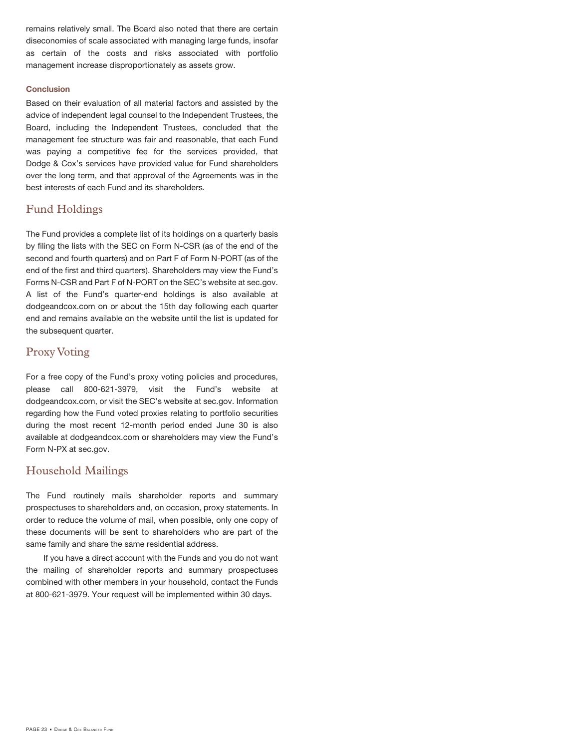remains relatively small. The Board also noted that there are certain diseconomies of scale associated with managing large funds, insofar as certain of the costs and risks associated with portfolio management increase disproportionately as assets grow.

### **Conclusion**

Based on their evaluation of all material factors and assisted by the advice of independent legal counsel to the Independent Trustees, the Board, including the Independent Trustees, concluded that the management fee structure was fair and reasonable, that each Fund was paying a competitive fee for the services provided, that Dodge & Cox's services have provided value for Fund shareholders over the long term, and that approval of the Agreements was in the best interests of each Fund and its shareholders.

### Fund Holdings

The Fund provides a complete list of its holdings on a quarterly basis by filing the lists with the SEC on Form N-CSR (as of the end of the second and fourth quarters) and on Part F of Form N-PORT (as of the end of the first and third quarters). Shareholders may view the Fund's Forms N-CSR and Part F of N-PORT on the SEC's website at sec.gov. A list of the Fund's quarter-end holdings is also available at dodgeandcox.com on or about the 15th day following each quarter end and remains available on the website until the list is updated for the subsequent quarter.

### Proxy Voting

For a free copy of the Fund's proxy voting policies and procedures, please call 800-621-3979, visit the Fund's website at dodgeandcox.com, or visit the SEC's website at sec.gov. Information regarding how the Fund voted proxies relating to portfolio securities during the most recent 12-month period ended June 30 is also available at dodgeandcox.com or shareholders may view the Fund's Form N-PX at sec.gov.

## Household Mailings

The Fund routinely mails shareholder reports and summary prospectuses to shareholders and, on occasion, proxy statements. In order to reduce the volume of mail, when possible, only one copy of these documents will be sent to shareholders who are part of the same family and share the same residential address.

If you have a direct account with the Funds and you do not want the mailing of shareholder reports and summary prospectuses combined with other members in your household, contact the Funds at 800-621-3979. Your request will be implemented within 30 days.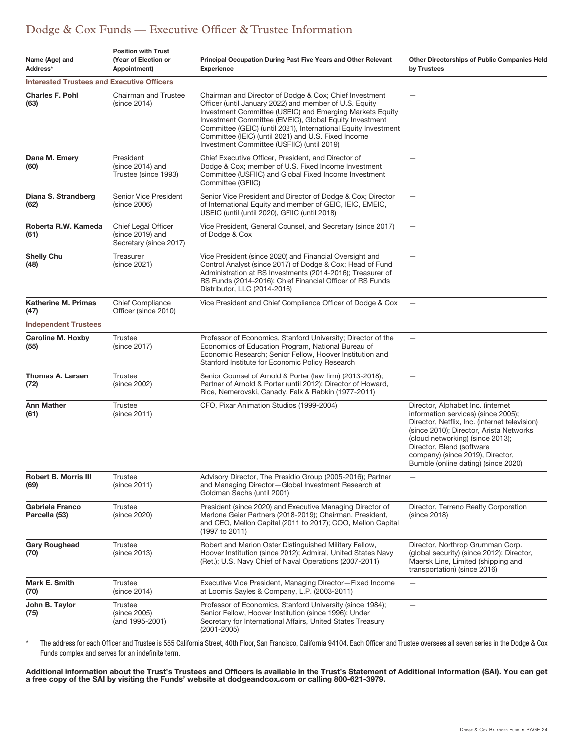# Dodge & Cox Funds — Executive Officer & Trustee Information

| Name (Age) and<br>Address*                        | <b>Position with Trust</b><br>(Year of Election or<br>Appointment)       | Principal Occupation During Past Five Years and Other Relevant<br><b>Experience</b>                                                                                                                                                                                                                                                                                                                           | <b>Other Directorships of Public Companies Held</b><br>by Trustees                                                                                                                                                                                                                                               |
|---------------------------------------------------|--------------------------------------------------------------------------|---------------------------------------------------------------------------------------------------------------------------------------------------------------------------------------------------------------------------------------------------------------------------------------------------------------------------------------------------------------------------------------------------------------|------------------------------------------------------------------------------------------------------------------------------------------------------------------------------------------------------------------------------------------------------------------------------------------------------------------|
| <b>Interested Trustees and Executive Officers</b> |                                                                          |                                                                                                                                                                                                                                                                                                                                                                                                               |                                                                                                                                                                                                                                                                                                                  |
| <b>Charles F. Pohl</b><br>(63)                    | <b>Chairman and Trustee</b><br>(since 2014)                              | Chairman and Director of Dodge & Cox; Chief Investment<br>Officer (until January 2022) and member of U.S. Equity<br>Investment Committee (USEIC) and Emerging Markets Equity<br>Investment Committee (EMEIC), Global Equity Investment<br>Committee (GEIC) (until 2021), International Equity Investment<br>Committee (IEIC) (until 2021) and U.S. Fixed Income<br>Investment Committee (USFIIC) (until 2019) |                                                                                                                                                                                                                                                                                                                  |
| Dana M. Emery<br>(60)                             | President<br>(since 2014) and<br>Trustee (since 1993)                    | Chief Executive Officer, President, and Director of<br>Dodge & Cox; member of U.S. Fixed Income Investment<br>Committee (USFIIC) and Global Fixed Income Investment<br>Committee (GFIIC)                                                                                                                                                                                                                      |                                                                                                                                                                                                                                                                                                                  |
| Diana S. Strandberg<br>(62)                       | Senior Vice President<br>(since 2006)                                    | Senior Vice President and Director of Dodge & Cox; Director<br>of International Equity and member of GEIC, IEIC, EMEIC,<br>USEIC (until (until 2020), GFIIC (until 2018)                                                                                                                                                                                                                                      | $\overline{\phantom{0}}$                                                                                                                                                                                                                                                                                         |
| Roberta R.W. Kameda<br>(61)                       | <b>Chief Legal Officer</b><br>(since 2019) and<br>Secretary (since 2017) | Vice President, General Counsel, and Secretary (since 2017)<br>of Dodge & Cox                                                                                                                                                                                                                                                                                                                                 |                                                                                                                                                                                                                                                                                                                  |
| <b>Shelly Chu</b><br>(48)                         | Treasurer<br>(since 2021)                                                | Vice President (since 2020) and Financial Oversight and<br>Control Analyst (since 2017) of Dodge & Cox; Head of Fund<br>Administration at RS Investments (2014-2016); Treasurer of<br>RS Funds (2014-2016); Chief Financial Officer of RS Funds<br>Distributor, LLC (2014-2016)                                                                                                                               |                                                                                                                                                                                                                                                                                                                  |
| <b>Katherine M. Primas</b><br>(47)                | <b>Chief Compliance</b><br>Officer (since 2010)                          | Vice President and Chief Compliance Officer of Dodge & Cox                                                                                                                                                                                                                                                                                                                                                    |                                                                                                                                                                                                                                                                                                                  |
| <b>Independent Trustees</b>                       |                                                                          |                                                                                                                                                                                                                                                                                                                                                                                                               |                                                                                                                                                                                                                                                                                                                  |
| Caroline M. Hoxby<br>(55)                         | Trustee<br>(since 2017)                                                  | Professor of Economics, Stanford University; Director of the<br>Economics of Education Program, National Bureau of<br>Economic Research; Senior Fellow, Hoover Institution and<br>Stanford Institute for Economic Policy Research                                                                                                                                                                             |                                                                                                                                                                                                                                                                                                                  |
| <b>Thomas A. Larsen</b><br>(72)                   | Trustee<br>(since 2002)                                                  | Senior Counsel of Arnold & Porter (law firm) (2013-2018);<br>Partner of Arnold & Porter (until 2012); Director of Howard,<br>Rice, Nemerovski, Canady, Falk & Rabkin (1977-2011)                                                                                                                                                                                                                              |                                                                                                                                                                                                                                                                                                                  |
| <b>Ann Mather</b><br>(61)                         | Trustee<br>(since 2011)                                                  | CFO, Pixar Animation Studios (1999-2004)                                                                                                                                                                                                                                                                                                                                                                      | Director, Alphabet Inc. (internet<br>information services) (since 2005);<br>Director, Netflix, Inc. (internet television)<br>(since 2010); Director, Arista Networks<br>(cloud networking) (since 2013);<br>Director, Blend (software<br>company) (since 2019), Director,<br>Bumble (online dating) (since 2020) |
| <b>Robert B. Morris III</b><br>(69)               | Trustee<br>(since 2011)                                                  | Advisory Director, The Presidio Group (2005-2016); Partner<br>and Managing Director-Global Investment Research at<br>Goldman Sachs (until 2001)                                                                                                                                                                                                                                                               |                                                                                                                                                                                                                                                                                                                  |
| Gabriela Franco<br>Parcella (53)                  | Trustee<br>(since 2020)                                                  | President (since 2020) and Executive Managing Director of<br>Merlone Geier Partners (2018-2019); Chairman, President,<br>and CEO, Mellon Capital (2011 to 2017); COO, Mellon Capital<br>(1997 to 2011)                                                                                                                                                                                                        | Director, Terreno Realty Corporation<br>(since 2018)                                                                                                                                                                                                                                                             |
| <b>Gary Roughead</b><br>(70)                      | Trustee<br>(since 2013)                                                  | Robert and Marion Oster Distinguished Military Fellow,<br>Hoover Institution (since 2012); Admiral, United States Navy<br>(Ret.); U.S. Navy Chief of Naval Operations (2007-2011)                                                                                                                                                                                                                             | Director, Northrop Grumman Corp.<br>(global security) (since 2012); Director,<br>Maersk Line, Limited (shipping and<br>transportation) (since 2016)                                                                                                                                                              |
| Mark E. Smith<br>(70)                             | Trustee<br>(since 2014)                                                  | Executive Vice President, Managing Director-Fixed Income<br>at Loomis Sayles & Company, L.P. (2003-2011)                                                                                                                                                                                                                                                                                                      |                                                                                                                                                                                                                                                                                                                  |
| John B. Taylor<br>(75)                            | Trustee<br>(since 2005)<br>(and 1995-2001)                               | Professor of Economics, Stanford University (since 1984);<br>Senior Fellow, Hoover Institution (since 1996); Under<br>Secretary for International Affairs, United States Treasury<br>$(2001 - 2005)$                                                                                                                                                                                                          |                                                                                                                                                                                                                                                                                                                  |

\* The address for each Officer and Trustee is 555 California Street, 40th Floor, San Francisco, California 94104. Each Officer and Trustee oversees all seven series in the Dodge & Cox Funds complex and serves for an indefinite term.

Additional information about the Trust's Trustees and Officers is available in the Trust's Statement of Additional Information (SAI). You can get<br>a free copy of the SAI by visiting the Funds' website at dodgeandcox.com or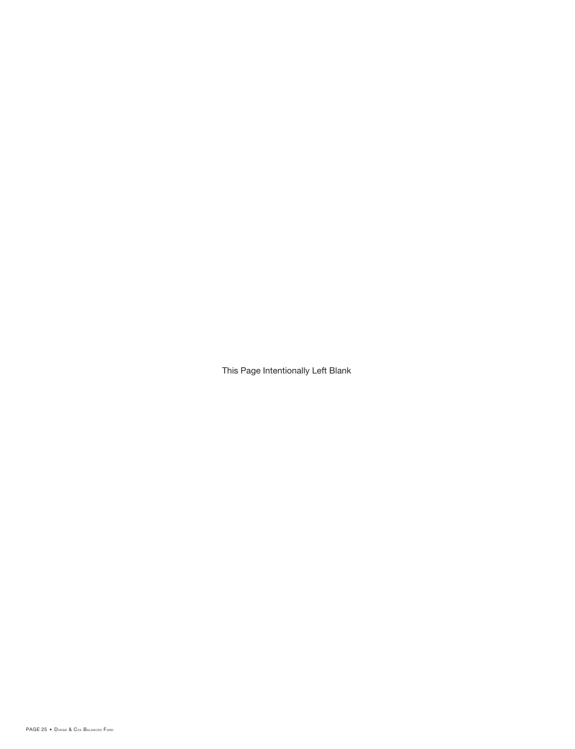This Page Intentionally Left Blank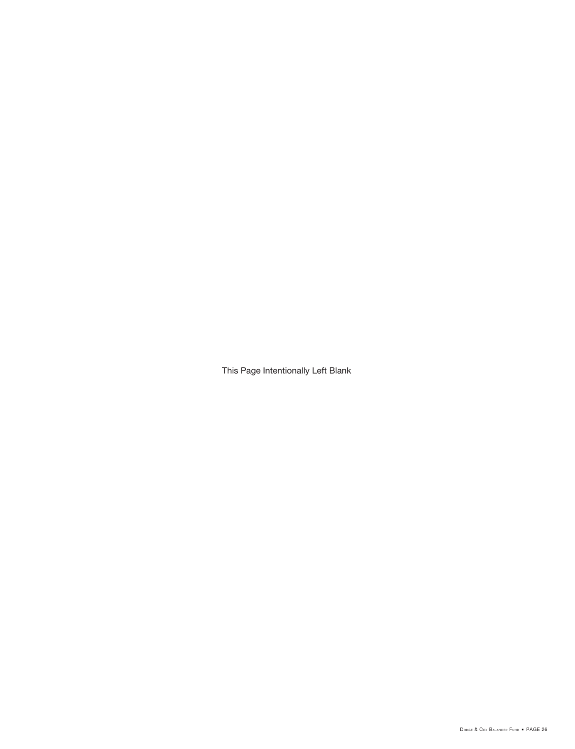This Page Intentionally Left Blank